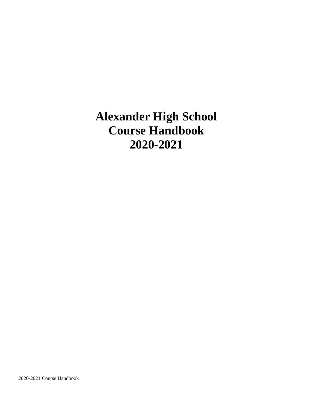# **Alexander High School Course Handbook 2020-2021**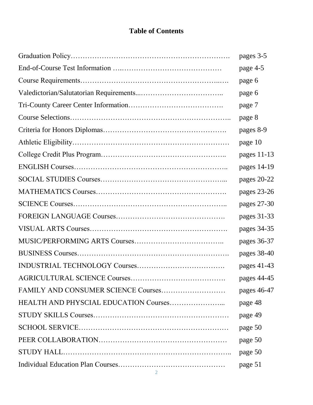# **Table of Contents**

|                                     | pages 3-5   |
|-------------------------------------|-------------|
|                                     | page 4-5    |
|                                     | page 6      |
|                                     | page 6      |
|                                     | page 7      |
|                                     | page 8      |
|                                     | pages 8-9   |
|                                     | page 10     |
|                                     | pages 11-13 |
|                                     | pages 14-19 |
|                                     | pages 20-22 |
|                                     | pages 23-26 |
|                                     | pages 27-30 |
|                                     | pages 31-33 |
|                                     | pages 34-35 |
|                                     | pages 36-37 |
|                                     | pages 38-40 |
|                                     | pages 41-43 |
|                                     | pages 44-45 |
| FAMILY AND CONSUMER SCIENCE Courses | pages 46-47 |
|                                     | page 48     |
|                                     | page 49     |
|                                     | page 50     |
|                                     | page 50     |
|                                     | page 50     |
|                                     | page 51     |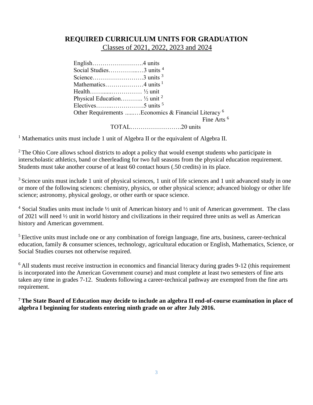## **REQUIRED CURRICULUM UNITS FOR GRADUATION**

Classes of 2021, 2022, 2023 and 2024

| Social Studies3 units <sup>4</sup>                      |                        |
|---------------------------------------------------------|------------------------|
| Science3 units $3$                                      |                        |
|                                                         |                        |
|                                                         |                        |
| Physical Education $\frac{1}{2}$ unit $^2$              |                        |
| Electives5 units $^5$                                   |                        |
| Other Requirements  Economics & Financial Literacy $^6$ |                        |
|                                                         | Fine Arts <sup>6</sup> |
|                                                         |                        |

<sup>1</sup> Mathematics units must include 1 unit of Algebra II or the equivalent of Algebra II.

 $2$ <sup>2</sup> The Ohio Core allows school districts to adopt a policy that would exempt students who participate in interscholastic athletics, band or cheerleading for two full seasons from the physical education requirement. Students must take another course of at least 60 contact hours (.50 credits) in its place.

<sup>3</sup> Science units must include 1 unit of physical sciences, 1 unit of life sciences and 1 unit advanced study in one or more of the following sciences: chemistry, physics, or other physical science; advanced biology or other life science; astronomy, physical geology, or other earth or space science.

<sup>4</sup> Social Studies units must include ½ unit of American history and ½ unit of American government. The class of 2021 will need ½ unit in world history and civilizations in their required three units as well as American history and American government.

<sup>5</sup> Elective units must include one or any combination of foreign language, fine arts, business, career-technical education, family & consumer sciences, technology, agricultural education or English, Mathematics, Science, or Social Studies courses not otherwise required.

<sup>6</sup> All students must receive instruction in economics and financial literacy during grades 9-12 (this requirement is incorporated into the American Government course) and must complete at least two semesters of fine arts taken any time in grades 7-12. Students following a career-technical pathway are exempted from the fine arts requirement.

**<sup>7</sup>The State Board of Education may decide to include an algebra II end-of-course examination in place of algebra I beginning for students entering ninth grade on or after July 2016.**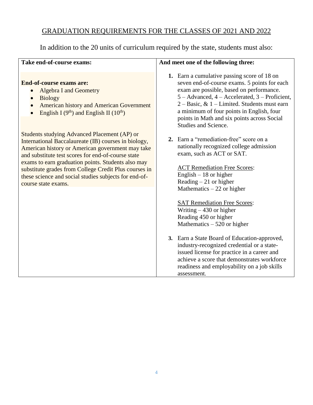# GRADUATION REQUIREMENTS FOR THE CLASSES OF 2021 AND 2022

In addition to the 20 units of curriculum required by the state, students must also:

| Take end-of-course exams:                                                                                                                                                                                                                                                                                                                                                                                     | And meet one of the following three:                                                                                                                                                                                                                                                                                                                             |
|---------------------------------------------------------------------------------------------------------------------------------------------------------------------------------------------------------------------------------------------------------------------------------------------------------------------------------------------------------------------------------------------------------------|------------------------------------------------------------------------------------------------------------------------------------------------------------------------------------------------------------------------------------------------------------------------------------------------------------------------------------------------------------------|
| <b>End-of-course exams are:</b><br><b>Algebra I and Geometry</b><br><b>Biology</b><br><b>American history and American Government</b><br>English I $(9th)$ and English II $(10th)$                                                                                                                                                                                                                            | 1. Earn a cumulative passing score of 18 on<br>seven end-of-course exams. 5 points for each<br>exam are possible, based on performance.<br>5 – Advanced, 4 – Accelerated, 3 – Proficient,<br>$2 - Basic, \& 1 - Limited. Students must earn$<br>a minimum of four points in English, four<br>points in Math and six points across Social<br>Studies and Science. |
| Students studying Advanced Placement (AP) or<br>International Baccalaureate (IB) courses in biology,<br>American history or American government may take<br>and substitute test scores for end-of-course state<br>exams to earn graduation points. Students also may<br>substitute grades from College Credit Plus courses in<br>these science and social studies subjects for end-of-<br>course state exams. | 2. Earn a "remediation-free" score on a<br>nationally recognized college admission<br>exam, such as ACT or SAT.<br><b>ACT Remediation Free Scores:</b><br>English $-18$ or higher<br>Reading $-21$ or higher<br>Mathematics $-22$ or higher<br><b>SAT Remediation Free Scores:</b>                                                                               |
|                                                                                                                                                                                                                                                                                                                                                                                                               | Writing $-430$ or higher<br>Reading 450 or higher<br>Mathematics $-520$ or higher<br>3. Earn a State Board of Education-approved,<br>industry-recognized credential or a state-<br>issued license for practice in a career and<br>achieve a score that demonstrates workforce<br>readiness and employability on a job skills<br>assessment.                      |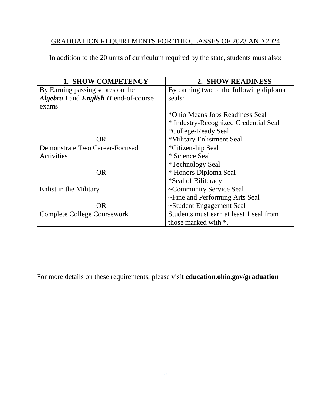# GRADUATION REQUIREMENTS FOR THE CLASSES OF 2023 AND 2024

In addition to the 20 units of curriculum required by the state, students must also:

| 1. SHOW COMPETENCY                                   | 2. SHOW READINESS                       |
|------------------------------------------------------|-----------------------------------------|
| By Earning passing scores on the                     | By earning two of the following diploma |
| <b>Algebra I</b> and <i>English II</i> end-of-course | seals:                                  |
| exams                                                |                                         |
|                                                      | *Ohio Means Jobs Readiness Seal         |
|                                                      | * Industry-Recognized Credential Seal   |
|                                                      | *College-Ready Seal                     |
| <b>OR</b>                                            | *Military Enlistment Seal               |
| Demonstrate Two Career-Focused                       | *Citizenship Seal                       |
| Activities                                           | * Science Seal                          |
|                                                      | <i>*</i> Technology Seal                |
| <b>OR</b>                                            | * Honors Diploma Seal                   |
|                                                      | *Seal of Biliteracy                     |
| Enlist in the Military                               | ~Community Service Seal                 |
|                                                      | ~Fine and Performing Arts Seal          |
| OR                                                   | ~Student Engagement Seal                |
| Complete College Coursework                          | Students must earn at least 1 seal from |
|                                                      | those marked with *.                    |

For more details on these requirements, please visit **education.ohio.gov/graduation**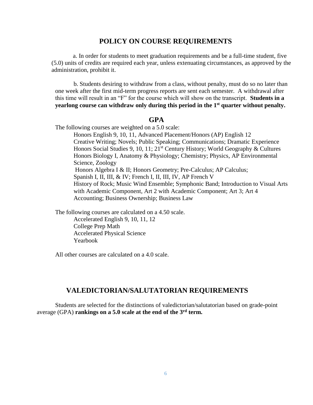### **POLICY ON COURSE REQUIREMENTS**

 a. In order for students to meet graduation requirements and be a full-time student, five (5.0) units of credits are required each year, unless extenuating circumstances, as approved by the administration, prohibit it.

b. Students desiring to withdraw from a class, without penalty, must do so no later than one week after the first mid-term progress reports are sent each semester. A withdrawal after this time will result in an "F" for the course which will show on the transcript. **Students in a yearlong course can withdraw only during this period in the 1st quarter without penalty.**

### **GPA**

The following courses are weighted on a 5.0 scale:

Honors English 9, 10, 11, Advanced Placement/Honors (AP) English 12 Creative Writing; Novels; Public Speaking; Communications; Dramatic Experience Honors Social Studies 9, 10, 11; 21<sup>st</sup> Century History; World Geography & Cultures Honors Biology I, Anatomy & Physiology; Chemistry; Physics, AP Environmental Science, Zoology Honors Algebra I & II; Honors Geometry; Pre-Calculus; AP Calculus; Spanish I, II, III, & IV; French I, II, III, IV, AP French V History of Rock; Music Wind Ensemble; Symphonic Band; Introduction to Visual Arts with Academic Component, Art 2 with Academic Component; Art 3; Art 4 Accounting; Business Ownership; Business Law

The following courses are calculated on a 4.50 scale. Accelerated English 9, 10, 11, 12 College Prep Math Accelerated Physical Science Yearbook

All other courses are calculated on a 4.0 scale.

### **VALEDICTORIAN/SALUTATORIAN REQUIREMENTS**

Students are selected for the distinctions of valedictorian/salutatorian based on grade-point average (GPA) **rankings on a 5.0 scale at the end of the 3rd term.**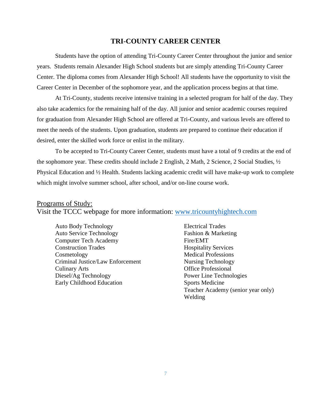### **TRI-COUNTY CAREER CENTER**

Students have the option of attending Tri-County Career Center throughout the junior and senior years. Students remain Alexander High School students but are simply attending Tri-County Career Center. The diploma comes from Alexander High School! All students have the opportunity to visit the Career Center in December of the sophomore year, and the application process begins at that time.

At Tri-County, students receive intensive training in a selected program for half of the day. They also take academics for the remaining half of the day. All junior and senior academic courses required for graduation from Alexander High School are offered at Tri-County, and various levels are offered to meet the needs of the students. Upon graduation, students are prepared to continue their education if desired, enter the skilled work force or enlist in the military.

To be accepted to Tri-County Career Center, students must have a total of 9 credits at the end of the sophomore year. These credits should include 2 English, 2 Math, 2 Science, 2 Social Studies, ½ Physical Education and ½ Health. Students lacking academic credit will have make-up work to complete which might involve summer school, after school, and/or on-line course work.

### Programs of Study: Visit the TCCC webpage for more information: [www.tricountyhightech.com](http://www.tricountyhightech.com/)

Auto Body Technology Electrical Trades Auto Service Technology Fashion & Marketing Computer Tech Academy Fire/EMT Construction Trades Hospitality Services Cosmetology Medical Professions Criminal Justice/Law Enforcement Nursing Technology Culinary Arts Office Professional Diesel/Ag Technology Power Line Technologies Early Childhood Education Sports Medicine

Teacher Academy (senior year only) Welding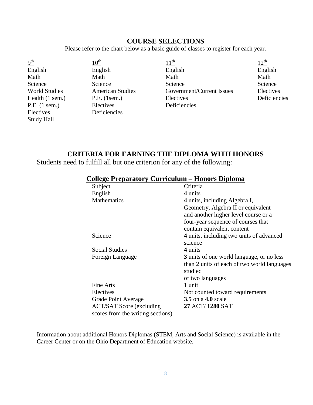## **COURSE SELECTIONS**

Please refer to the chart below as a basic guide of classes to register for each year.

| 9 <sup>th</sup>      | $10^{\rm th}$           | 11 <sup>th</sup>          | 12 <sup>th</sup> |
|----------------------|-------------------------|---------------------------|------------------|
| English              | English                 | English                   | English          |
| Math                 | Math                    | Math                      | Math             |
| Science              | Science                 | Science                   | Science          |
| <b>World Studies</b> | <b>American Studies</b> | Government/Current Issues | Electives        |
| Health (1 sem.)      | $P.E.$ (1sem.)          | Electives                 | Deficiencies     |
| P.E. (1 sem.)        | Electives               | Deficiencies              |                  |
| Electives            | Deficiencies            |                           |                  |
| <b>Study Hall</b>    |                         |                           |                  |

## **CRITERIA FOR EARNING THE DIPLOMA WITH HONORS**

Students need to fulfill all but one criterion for any of the following:

| <b>College Preparatory Curriculum – Honors Diploma</b> |  |
|--------------------------------------------------------|--|
|--------------------------------------------------------|--|

| Subject                           | Criteria                                    |
|-----------------------------------|---------------------------------------------|
| English                           | 4 units                                     |
| Mathematics                       | 4 units, including Algebra I,               |
|                                   | Geometry, Algebra II or equivalent          |
|                                   | and another higher level course or a        |
|                                   | four-year sequence of courses that          |
|                                   | contain equivalent content                  |
| Science                           | 4 units, including two units of advanced    |
|                                   | science                                     |
| Social Studies                    | 4 units                                     |
| Foreign Language                  | 3 units of one world language, or no less   |
|                                   | than 2 units of each of two world languages |
|                                   | studied                                     |
|                                   | of two languages                            |
| Fine Arts                         | 1 unit                                      |
| Electives                         | Not counted toward requirements             |
| Grade Point Average               | <b>3.5</b> on a <b>4.0</b> scale            |
| <b>ACT/SAT Score (excluding)</b>  | 27 ACT/1280 SAT                             |
| scores from the writing sections) |                                             |

Information about additional Honors Diplomas (STEM, Arts and Social Science) is available in the Career Center or on the Ohio Department of Education website.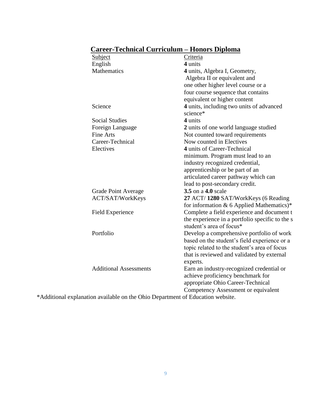## **Career-Technical Curriculum – Honors Diploma**

| Carter Technical Carricalam                                                    | попога риргопи                                                              |
|--------------------------------------------------------------------------------|-----------------------------------------------------------------------------|
| <b>Subject</b>                                                                 | <b>Criteria</b>                                                             |
| English                                                                        | 4 units                                                                     |
| Mathematics                                                                    | 4 units, Algebra I, Geometry,                                               |
|                                                                                | Algebra II or equivalent and                                                |
|                                                                                | one other higher level course or a                                          |
|                                                                                | four course sequence that contains                                          |
|                                                                                | equivalent or higher content                                                |
| Science                                                                        | 4 units, including two units of advanced<br>science*                        |
| <b>Social Studies</b>                                                          | 4 units                                                                     |
| Foreign Language                                                               | 2 units of one world language studied                                       |
| <b>Fine Arts</b>                                                               | Not counted toward requirements                                             |
| Career-Technical                                                               | Now counted in Electives                                                    |
| Electives                                                                      | 4 units of Career-Technical                                                 |
|                                                                                | minimum. Program must lead to an                                            |
|                                                                                | industry recognized credential,                                             |
|                                                                                | apprenticeship or be part of an                                             |
|                                                                                | articulated career pathway which can                                        |
|                                                                                | lead to post-secondary credit.                                              |
| <b>Grade Point Average</b>                                                     | 3.5 on a 4.0 scale                                                          |
| ACT/SAT/WorkKeys                                                               | 27 ACT/1280 SAT/WorkKeys (6 Reading                                         |
|                                                                                | for information & 6 Applied Mathematics)*                                   |
| <b>Field Experience</b>                                                        | Complete a field experience and document t                                  |
|                                                                                | the experience in a portfolio specific to the s<br>student's area of focus* |
| Portfolio                                                                      | Develop a comprehensive portfolio of work                                   |
|                                                                                | based on the student's field experience or a                                |
|                                                                                | topic related to the student's area of focus                                |
|                                                                                | that is reviewed and validated by external                                  |
|                                                                                | experts.                                                                    |
| <b>Additional Assessments</b>                                                  | Earn an industry-recognized credential or                                   |
|                                                                                | achieve proficiency benchmark for                                           |
|                                                                                | appropriate Ohio Career-Technical                                           |
|                                                                                | Competency Assessment or equivalent                                         |
| *Additional explanation available on the Ohio Department of Education website. |                                                                             |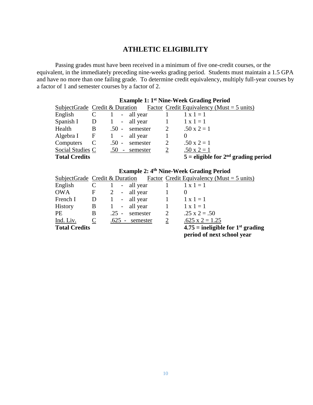## **ATHLETIC ELIGIBILITY**

Passing grades must have been received in a minimum of five one-credit courses, or the equivalent, in the immediately preceding nine-weeks grading period. Students must maintain a 1.5 GPA and have no more than one failing grade. To determine credit equivalency, multiply full-year courses by a factor of 1 and semester courses by a factor of 2.

|                                             |                |         |                    |                | <b>Example 1: 1st Nine-Week Grading Period</b>                              |
|---------------------------------------------|----------------|---------|--------------------|----------------|-----------------------------------------------------------------------------|
|                                             |                |         |                    |                | SubjectGrade Credit & Duration Factor Credit Equivalency (Must $= 5$ units) |
| English                                     | $\mathbf{C}$   |         | 1 - all year       | $\sim 1$       | $1 \times 1 = 1$                                                            |
| Spanish I D 1 - all year 1 $1 \times 1 = 1$ |                |         |                    |                |                                                                             |
| Health                                      | $\mathbf{B}$   |         | $.50$ - semester 2 |                | $.50 \times 2 = 1$                                                          |
| $Algebra I$ F                               |                |         | 1 - all year       |                | $\theta$                                                                    |
| Computers                                   | $\overline{C}$ | $.50 -$ | semester           | 2              | $.50 \times 2 = 1$                                                          |
| Social Studies C                            |                |         | $.50$ - semester   | $\overline{2}$ | $.50 \times 2 = 1$                                                          |
| <b>Total Credits</b>                        |                |         |                    |                | $5$ = eligible for $2nd$ grading period                                     |

## **Example 2: 4th Nine-Week Grading Period**

|                      |              |                                  |            |              | SubjectGrade Credit & Duration Factor Credit Equivalency (Must $= 5$ units) |
|----------------------|--------------|----------------------------------|------------|--------------|-----------------------------------------------------------------------------|
| English              |              | -1                               | - all year |              | $1 \times 1 = 1$                                                            |
| <b>OWA</b>           | $\mathbf{F}$ | 2                                | - all year |              | 0                                                                           |
| French I             | D            | $\begin{array}{c} 1 \end{array}$ | - all year |              | $1 \times 1 = 1$                                                            |
| History              | B            | -1                               | - all year | $\mathbf{1}$ | $1 \times 1 = 1$                                                            |
| PE                   | B            | $.25 -$                          | semester   | 2            | $.25 \times 2 = .50$                                                        |
| Ind. Liv.            | $\mathbf C$  | - 625.                           | semester   | 2            | $.625 \times 2 = 1.25$                                                      |
| <b>Total Credits</b> |              |                                  |            |              | $4.75$ = ineligible for 1 <sup>st</sup> grading                             |
|                      |              |                                  |            |              | period of next school year                                                  |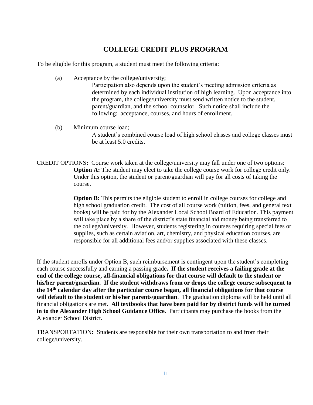## **COLLEGE CREDIT PLUS PROGRAM**

To be eligible for this program, a student must meet the following criteria:

(a) Acceptance by the college/university;

Participation also depends upon the student's meeting admission criteria as determined by each individual institution of high learning. Upon acceptance into the program, the college/university must send written notice to the student, parent/guardian, and the school counselor. Such notice shall include the following: acceptance, courses, and hours of enrollment.

(b) Minimum course load;

A student's combined course load of high school classes and college classes must be at least 5.0 credits.

CREDIT OPTIONS**:** Course work taken at the college/university may fall under one of two options: **Option A:** The student may elect to take the college course work for college credit only. Under this option, the student or parent/guardian will pay for all costs of taking the course.

> **Option B:** This permits the eligible student to enroll in college courses for college and high school graduation credit. The cost of all course work (tuition, fees, and general text books) will be paid for by the Alexander Local School Board of Education. This payment will take place by a share of the district's state financial aid money being transferred to the college/university. However, students registering in courses requiring special fees or supplies, such as certain aviation, art, chemistry, and physical education courses, are responsible for all additional fees and/or supplies associated with these classes.

If the student enrolls under Option B, such reimbursement is contingent upon the student's completing each course successfully and earning a passing grade**. If the student receives a failing grade at the end of the college course, all-financial obligations for that course will default to the student or his/her parent/guardian. If the student withdraws from or drops the college course subsequent to the 14th calendar day after the particular course began, all financial obligations for that course will default to the student or his/her parents/guardian**. The graduation diploma will be held until all financial obligations are met. **All textbooks that have been paid for by district funds will be turned in to the Alexander High School Guidance Office**. Participants may purchase the books from the Alexander School District.

TRANSPORTATION**:** Students are responsible for their own transportation to and from their college/university.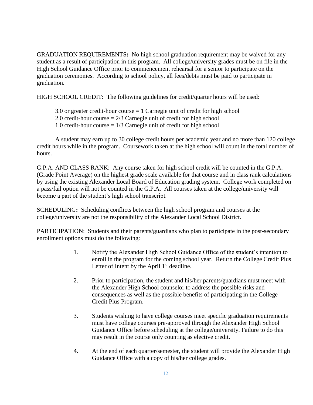GRADUATION REQUIREMENTS**:** No high school graduation requirement may be waived for any student as a result of participation in this program. All college/university grades must be on file in the High School Guidance Office prior to commencement rehearsal for a senior to participate on the graduation ceremonies. According to school policy, all fees/debts must be paid to participate in graduation.

HIGH SCHOOL CREDIT: The following guidelines for credit/quarter hours will be used:

3.0 or greater credit-hour course = 1 Carnegie unit of credit for high school 2.0 credit-hour course  $= 2/3$  Carnegie unit of credit for high school 1.0 credit-hour course = 1/3 Carnegie unit of credit for high school

A student may earn up to 30 college credit hours per academic year and no more than 120 college credit hours while in the program. Coursework taken at the high school will count in the total number of hours.

G.P.A. AND CLASS RANK: Any course taken for high school credit will be counted in the G.P.A. (Grade Point Average) on the highest grade scale available for that course and in class rank calculations by using the existing Alexander Local Board of Education grading system. College work completed on a pass/fail option will not be counted in the G.P.A. All courses taken at the college/university will become a part of the student's high school transcript.

SCHEDULING**:** Scheduling conflicts between the high school program and courses at the college/university are not the responsibility of the Alexander Local School District.

PARTICIPATION: Students and their parents/guardians who plan to participate in the post-secondary enrollment options must do the following:

- 1. Notify the Alexander High School Guidance Office of the student's intention to enroll in the program for the coming school year. Return the College Credit Plus Letter of Intent by the April  $1<sup>st</sup>$  deadline.
- 2. Prior to participation, the student and his/her parents/guardians must meet with the Alexander High School counselor to address the possible risks and consequences as well as the possible benefits of participating in the College Credit Plus Program.
- 3. Students wishing to have college courses meet specific graduation requirements must have college courses pre-approved through the Alexander High School Guidance Office before scheduling at the college/university. Failure to do this may result in the course only counting as elective credit.
- 4. At the end of each quarter/semester, the student will provide the Alexander High Guidance Office with a copy of his/her college grades.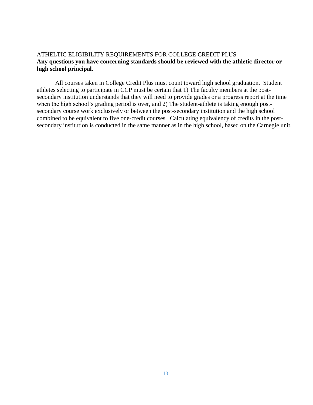### ATHELTIC ELIGIBILITY REQUIREMENTS FOR COLLEGE CREDIT PLUS **Any questions you have concerning standards should be reviewed with the athletic director or high school principal.**

All courses taken in College Credit Plus must count toward high school graduation. Student athletes selecting to participate in CCP must be certain that 1) The faculty members at the postsecondary institution understands that they will need to provide grades or a progress report at the time when the high school's grading period is over, and 2) The student-athlete is taking enough postsecondary course work exclusively or between the post-secondary institution and the high school combined to be equivalent to five one-credit courses. Calculating equivalency of credits in the postsecondary institution is conducted in the same manner as in the high school, based on the Carnegie unit.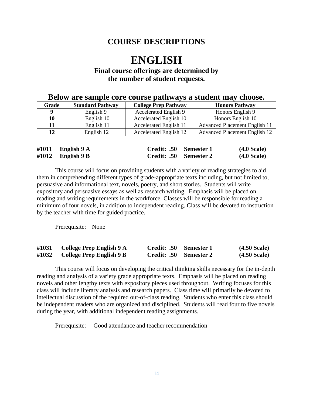## **COURSE DESCRIPTIONS**

# **ENGLISH**

## **Final course offerings are determined by the number of student requests.**

|       | P<br>-------            |                               |                                      |  |  |  |  |
|-------|-------------------------|-------------------------------|--------------------------------------|--|--|--|--|
| Grade | <b>Standard Pathway</b> | <b>College Prep Pathway</b>   | <b>Honors Pathway</b>                |  |  |  |  |
| -9    | English 9               | Accelerated English 9         | Honors English 9                     |  |  |  |  |
| 10    | English 10              | Accelerated English 10        | Honors English 10                    |  |  |  |  |
| 11    | English 11              | <b>Accelerated English 11</b> | <b>Advanced Placement English 11</b> |  |  |  |  |
| 12    | English 12              | <b>Accelerated English 12</b> | <b>Advanced Placement English 12</b> |  |  |  |  |
|       |                         |                               |                                      |  |  |  |  |

## **Below are sample core course pathways a student may choose.**

| #1011 English $9 \text{ A}$ | Credit: .50 Semester 1 | $(4.0 \text{ Scale})$ |
|-----------------------------|------------------------|-----------------------|
| #1012 English $9B$          | Credit: .50 Semester 2 | $(4.0 \text{ Scale})$ |

This course will focus on providing students with a variety of reading strategies to aid them in comprehending different types of grade-appropriate texts including, but not limited to, persuasive and informational text, novels, poetry, and short stories. Students will write expository and persuasive essays as well as research writing. Emphasis will be placed on reading and writing requirements in the workforce. Classes will be responsible for reading a minimum of four novels, in addition to independent reading. Class will be devoted to instruction by the teacher with time for guided practice.

Prerequisite: None

| #1031 | College Prep English 9 A | Credit: .50 Semester 1 | $(4.50 \text{ Scale})$ |
|-------|--------------------------|------------------------|------------------------|
| #1032 | College Prep English 9 B | Credit: .50 Semester 2 | $(4.50 \text{ Scale})$ |

This course will focus on developing the critical thinking skills necessary for the in-depth reading and analysis of a variety grade appropriate texts. Emphasis will be placed on reading novels and other lengthy texts with expository pieces used throughout. Writing focuses for this class will include literary analysis and research papers. Class time will primarily be devoted to intellectual discussion of the required out-of-class reading. Students who enter this class should be independent readers who are organized and disciplined. Students will read four to five novels during the year, with additional independent reading assignments.

Prerequisite: Good attendance and teacher recommendation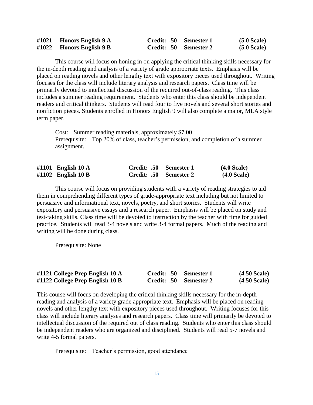| #1021 Honors English $9 \text{ A}$ | Credit: .50 Semester 1 | (5.0 Scale) |
|------------------------------------|------------------------|-------------|
| $\#1022$ Honors English 9 B        | Credit: .50 Semester 2 | (5.0 Scale) |

This course will focus on honing in on applying the critical thinking skills necessary for the in-depth reading and analysis of a variety of grade appropriate texts. Emphasis will be placed on reading novels and other lengthy text with expository pieces used throughout. Writing focuses for the class will include literary analysis and research papers. Class time will be primarily devoted to intellectual discussion of the required out-of-class reading. This class includes a summer reading requirement. Students who enter this class should be independent readers and critical thinkers. Students will read four to five novels and several short stories and nonfiction pieces. Students enrolled in Honors English 9 will also complete a major, MLA style term paper.

Cost: Summer reading materials, approximately \$7.00 Prerequisite: Top 20% of class, teacher's permission, and completion of a summer assignment.

| #1101 English $10 \text{ A}$ | Credit: .50 Semester 1 | $(4.0 \text{ Scale})$ |
|------------------------------|------------------------|-----------------------|
| #1102 English 10 B           | Credit: .50 Semester 2 | $(4.0$ Scale)         |

This course will focus on providing students with a variety of reading strategies to aid them in comprehending different types of grade-appropriate text including but not limited to persuasive and informational text, novels, poetry, and short stories. Students will write expository and persuasive essays and a research paper. Emphasis will be placed on study and test-taking skills. Class time will be devoted to instruction by the teacher with time for guided practice. Students will read 3-4 novels and write 3-4 formal papers. Much of the reading and writing will be done during class.

Prerequisite: None

| #1121 College Prep English 10 A    | Credit: .50 Semester 1 | $(4.50 \text{ Scale})$ |
|------------------------------------|------------------------|------------------------|
| $\#1122$ College Prep English 10 B | Credit: .50 Semester 2 | $(4.50 \text{ Scale})$ |

This course will focus on developing the critical thinking skills necessary for the in-depth reading and analysis of a variety grade appropriate text. Emphasis will be placed on reading novels and other lengthy text with expository pieces used throughout. Writing focuses for this class will include literary analyses and research papers. Class time will primarily be devoted to intellectual discussion of the required out of class reading. Students who enter this class should be independent readers who are organized and disciplined. Students will read 5-7 novels and write 4-5 formal papers.

Prerequisite: Teacher's permission, good attendance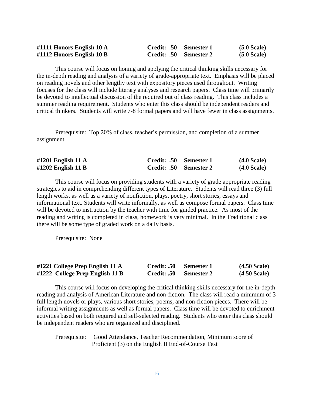| #1111 Honors English 10 A | Credit: .50 Semester 1 | $(5.0 \text{ Scale})$ |
|---------------------------|------------------------|-----------------------|
| #1112 Honors English 10 B | Credit: .50 Semester 2 | $(5.0$ Scale)         |

This course will focus on honing and applying the critical thinking skills necessary for the in-depth reading and analysis of a variety of grade-appropriate text. Emphasis will be placed on reading novels and other lengthy text with expository pieces used throughout. Writing focuses for the class will include literary analyses and research papers. Class time will primarily be devoted to intellectual discussion of the required out of class reading. This class includes a summer reading requirement. Students who enter this class should be independent readers and critical thinkers. Students will write 7-8 formal papers and will have fewer in class assignments.

Prerequisite: Top 20% of class, teacher's permission, and completion of a summer assignment.

| #1201 English 11 A | Credit: .50 Semester 1 | (4.0 Scale) |
|--------------------|------------------------|-------------|
| #1202 English 11 B | Credit: .50 Semester 2 | (4.0 Scale) |

This course will focus on providing students with a variety of grade appropriate reading strategies to aid in comprehending different types of Literature. Students will read three (3) full length works, as well as a variety of nonfiction, plays, poetry, short stories, essays and informational text. Students will write informally, as well as compose formal papers. Class time will be devoted to instruction by the teacher with time for guided practice. As most of the reading and writing is completed in class, homework is very minimal. In the Traditional class there will be some type of graded work on a daily basis.

Prerequisite: None

| #1221 College Prep English 11 A | Credit: .50 Semester 1 |                        | $(4.50$ Scale) |
|---------------------------------|------------------------|------------------------|----------------|
| #1222 College Prep English 11 B |                        | Credit: .50 Semester 2 | $(4.50$ Scale) |

This course will focus on developing the critical thinking skills necessary for the in-depth reading and analysis of American Literature and non-fiction. The class will read a minimum of 3 full length novels or plays, various short stories, poems, and non-fiction pieces. There will be informal writing assignments as well as formal papers. Class time will be devoted to enrichment activities based on both required and self-selected reading. Students who enter this class should be independent readers who are organized and disciplined.

Prerequisite: Good Attendance, Teacher Recommendation, Minimum score of Proficient (3) on the English II End-of-Course Test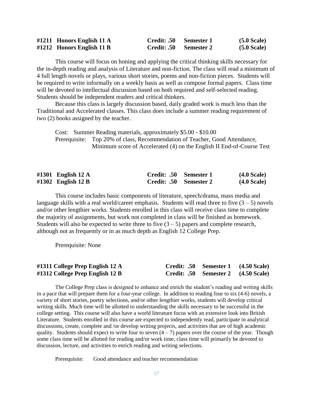| #1211 Honors English 11 A   | Credit: .50 Semester 1 | $(5.0 \text{ Scale})$ |
|-----------------------------|------------------------|-----------------------|
| $#1212$ Honors English 11 B | Credit: .50 Semester 2 | $(5.0 \text{ Scale})$ |

This course will focus on honing and applying the critical thinking skills necessary for the in-depth reading and analysis of Literature and non-fiction. The class will read a minimum of 4 full length novels or plays, various short stories, poems and non-fiction pieces. Students will be required to write informally on a weekly basis as well as compose formal papers. Class time will be devoted to intellectual discussion based on both required and self-selected reading. Students should be independent readers and critical thinkers.

Because this class is largely discussion based, daily graded work is much less than the Traditional and Accelerated classes. This class does include a summer reading requirement of two (2) books assigned by the teacher.

Cost: Summer Reading materials, approximately \$5.00 - \$10.00 Prerequisite: Top 20% of class, Recommendation of Teacher, Good Attendance, Minimum score of Accelerated (4) on the English II End-of-Course Test

| #1301 English $12 \text{ A}$ | Credit: .50 Semester 1 | $(4.0 \text{ Scale})$ |
|------------------------------|------------------------|-----------------------|
| #1302 English 12 B           | Credit: .50 Semester 2 | $(4.0 \text{ Scale})$ |

This course includes basic components of literature, speech/drama, mass media and language skills with a real world/career emphasis. Students will read three to five  $(3 - 5)$  novels and/or other lengthier works. Students enrolled in this class will receive class time to complete the majority of assignments, but work not completed in class will be finished as homework. Students will also be expected to write three to five  $(3 - 5)$  papers and complete research, although not as frequently or in as much depth as English 12 College Prep.

Prerequisite: None

| #1311 College Prep English 12 A | Credit: .50 Semester 1 (4.50 Scale) |  |
|---------------------------------|-------------------------------------|--|
| #1312 College Prep English 12 B | Credit: .50 Semester 2 (4.50 Scale) |  |

The College Prep class is designed to enhance and enrich the student's reading and writing skills in a pace that will prepare them for a four-year college. In addition to reading four to six (4-6) novels, a variety of short stories, poetry selections, and/or other lengthier works, students will develop critical writing skills. Much time will be allotted to understanding the skills necessary to be successful in the college setting. This course will also have a world literature focus with an extensive look into British Literature. Students enrolled in this course are expected to independently read, participate in analytical discussions, create, complete and /or develop writing projects, and activities that are of high academic quality. Students should expect to write four to seven  $(4 - 7)$  papers over the course of the year. Though some class time will be allotted for reading and/or work time, class time will primarily be devoted to discussion, lecture, and activities to enrich reading and writing selections.

Prerequisite: Good attendance and teacher recommendation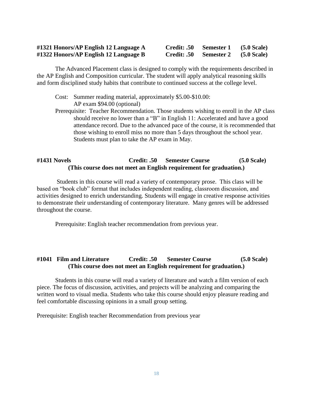### **#1321 Honors/AP English 12 Language A Credit: .50 Semester 1 (5.0 Scale) #1322 Honors/AP English 12 Language B Credit: .50 Semester 2 (5.0 Scale)**

The Advanced Placement class is designed to comply with the requirements described in the AP English and Composition curricular. The student will apply analytical reasoning skills and form disciplined study habits that contribute to continued success at the college level.

- Cost: Summer reading material, approximately \$5.00-\$10.00: AP exam \$94.00 (optional)
- Prerequisite: Teacher Recommendation. Those students wishing to enroll in the AP class should receive no lower than a "B" in English 11: Accelerated and have a good attendance record. Due to the advanced pace of the course, it is recommended that those wishing to enroll miss no more than 5 days throughout the school year. Students must plan to take the AP exam in May.

### **#1431 Novels Credit: .50 Semester Course (5.0 Scale) (This course does not meet an English requirement for graduation.)**

Students in this course will read a variety of contemporary prose. This class will be based on "book club" format that includes independent reading, classroom discussion, and activities designed to enrich understanding. Students will engage in creative response activities to demonstrate their understanding of contemporary literature. Many genres will be addressed throughout the course.

Prerequisite: English teacher recommendation from previous year.

### **#1041 Film and Literature Credit: .50 Semester Course (5.0 Scale) (This course does not meet an English requirement for graduation.)**

Students in this course will read a variety of literature and watch a film version of each piece. The focus of discussion, activities, and projects will be analyzing and comparing the written word to visual media. Students who take this course should enjoy pleasure reading and feel comfortable discussing opinions in a small group setting.

Prerequisite: English teacher Recommendation from previous year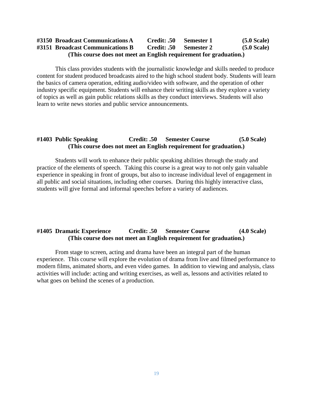### **#3150 Broadcast CommunicationsA Credit: .50 Semester 1 (5.0 Scale) #3151 Broadcast Communications B Credit: .50 Semester 2 (5.0 Scale) (This course does not meet an English requirement for graduation.)**

This class provides students with the journalistic knowledge and skills needed to produce content for student produced broadcasts aired to the high school student body. Students will learn the basics of camera operation, editing audio/video with software, and the operation of other industry specific equipment. Students will enhance their writing skills as they explore a variety of topics as well as gain public relations skills as they conduct interviews. Students will also learn to write news stories and public service announcements.

### **#1403 Public Speaking Credit: .50 Semester Course (5.0 Scale) (This course does not meet an English requirement for graduation.)**

Students will work to enhance their public speaking abilities through the study and practice of the elements of speech. Taking this course is a great way to not only gain valuable experience in speaking in front of groups, but also to increase individual level of engagement in all public and social situations, including other courses. During this highly interactive class, students will give formal and informal speeches before a variety of audiences.

### **#1405 Dramatic Experience Credit: .50 Semester Course (4.0 Scale) (This course does not meet an English requirement for graduation.)**

From stage to screen, acting and drama have been an integral part of the human experience. This course will explore the evolution of drama from live and filmed performance to modern films, animated shorts, and even video games. In addition to viewing and analysis, class activities will include: acting and writing exercises, as well as, lessons and activities related to what goes on behind the scenes of a production.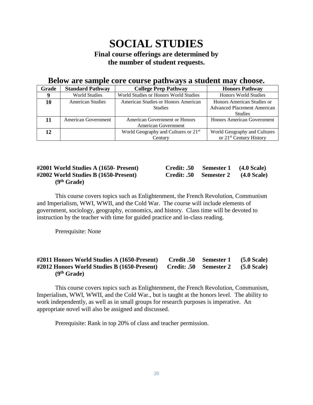# **SOCIAL STUDIES Final course offerings are determined by the number of student requests.**

## **Below are sample core course pathways a student may choose.**

| Grade | <b>Standard Pathway</b> | <b>College Prep Pathway</b>                      | <b>Honors Pathway</b>               |
|-------|-------------------------|--------------------------------------------------|-------------------------------------|
| 9     | <b>World Studies</b>    | World Studies or Honors World Studies            | <b>Honors World Studies</b>         |
| 10    | American Studies        | American Studies or Honors American              | Honors American Studies or          |
|       |                         | <b>Studies</b>                                   | <b>Advanced Placement American</b>  |
|       |                         |                                                  | <b>Studies</b>                      |
| 11    | American Government     | American Government or Honors                    | Honors American Government          |
|       |                         | American Government                              |                                     |
| 12    |                         | World Geography and Cultures or 21 <sup>st</sup> | World Geography and Cultures        |
|       |                         | Century                                          | or 21 <sup>st</sup> Century History |

### **#2001 World Studies A (1650- Present) Credit: .50 Semester 1 (4.0 Scale) #2002 World Studies B (1650-Present) Credit: .50 Semester 2 (4.0 Scale) (9th Grade)**

| Credit: .50 | Semester 1 | $(4.0 \text{ Scale})$ |
|-------------|------------|-----------------------|
| Credit: .50 | Semester 2 | (4.0 Scale)           |

This course covers topics such as Enlightenment, the French Revolution, Communism and Imperialism, WWI, WWII, and the Cold War. The course will include elements of government, sociology, geography, economics, and history. Class time will be devoted to instruction by the teacher with time for guided practice and in-class reading.

Prerequisite: None

### **#2011 Honors World Studies A (1650-Present) Credit .50 Semester 1 (5.0 Scale) #2012 Honors World Studies B (1650-Present) Credit: .50 Semester 2 (5.0 Scale) (9th Grade)**

This course covers topics such as Enlightenment, the French Revolution, Communism, Imperialism, WWI, WWII, and the Cold War., but is taught at the honors level. The ability to work independently, as well as in small groups for research purposes is imperative. An appropriate novel will also be assigned and discussed.

Prerequisite: Rank in top 20% of class and teacher permission.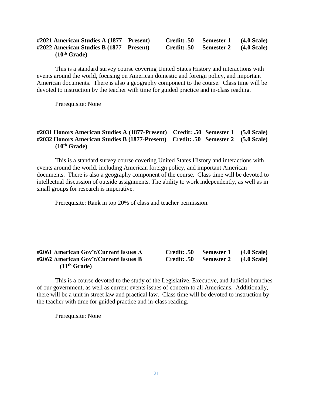### **#2021 American Studies A (1877 – Present) Credit: .50 Semester 1 (4.0 Scale) #2022 American Studies B (1877 – Present) Credit: .50 Semester 2 (4.0 Scale) (10th Grade)**

This is a standard survey course covering United States History and interactions with events around the world, focusing on American domestic and foreign policy, and important American documents. There is also a geography component to the course. Class time will be devoted to instruction by the teacher with time for guided practice and in-class reading.

Prerequisite: None

### **#2031 Honors American Studies A (1877-Present) Credit: .50 Semester 1 (5.0 Scale) #2032 Honors American Studies B (1877-Present) Credit: .50 Semester 2 (5.0 Scale) (10th Grade)**

This is a standard survey course covering United States History and interactions with events around the world, including American foreign policy, and important American documents. There is also a geography component of the course. Class time will be devoted to intellectual discussion of outside assignments. The ability to work independently, as well as in small groups for research is imperative.

Prerequisite: Rank in top 20% of class and teacher permission.

### **#2061 American Gov't/Current Issues A Credit: .50 Semester 1 (4.0 Scale) #2062 American Gov't/Current Issues B Credit: .50 Semester 2 (4.0 Scale) (11th Grade)**

This is a course devoted to the study of the Legislative, Executive, and Judicial branches of our government, as well as current events issues of concern to all Americans. Additionally, there will be a unit in street law and practical law. Class time will be devoted to instruction by the teacher with time for guided practice and in-class reading.

Prerequisite: None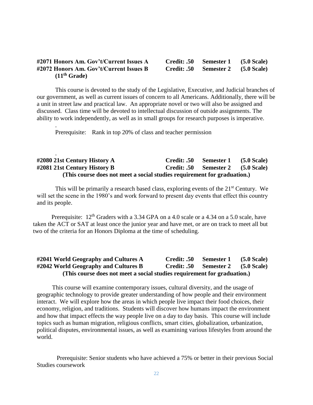### **#2071 Honors Am. Gov't/Current Issues A Credit: .50 Semester 1 (5.0 Scale) #2072 Honors Am. Gov't/Current Issues B Credit: .50 Semester 2 (5.0 Scale) (11th Grade)**

This course is devoted to the study of the Legislative, Executive, and Judicial branches of our government, as well as current issues of concern to all Americans. Additionally, there will be a unit in street law and practical law. An appropriate novel or two will also be assigned and discussed. Class time will be devoted to intellectual discussion of outside assignments. The ability to work independently, as well as in small groups for research purposes is imperative.

Prerequisite: Rank in top 20% of class and teacher permission

.

.

### **#2080 21st Century History A Credit: .50 Semester 1 (5.0 Scale) #2081 21st Century History B Credit: .50 Semester 2 (5.0 Scale) (This course does not meet a social studies requirement for graduation.)**

This will be primarily a research based class, exploring events of the 21<sup>st</sup> Century. We will set the scene in the 1980's and work forward to present day events that effect this country and its people.

Prerequisite: 12<sup>th</sup> Graders with a 3.34 GPA on a 4.0 scale or a 4.34 on a 5.0 scale, have taken the ACT or SAT at least once the junior year and have met, or are on track to meet all but two of the criteria for an Honors Diploma at the time of scheduling.

### **#2041 World Geography and Cultures A Credit: .50 Semester 1 (5.0 Scale) #2042 World Geography and Cultures B Credit: .50 Semester 2 (5.0 Scale) (This course does not meet a social studies requirement for graduation.)**

This course will examine contemporary issues, cultural diversity, and the usage of geographic technology to provide greater understanding of how people and their environment interact. We will explore how the areas in which people live impact their food choices, their economy, religion, and traditions. Students will discover how humans impact the environment and how that impact effects the way people live on a day to day basis. This course will include topics such as human migration, religious conflicts, smart cities, globalization, urbanization, political disputes, environmental issues, as well as examining various lifestyles from around the world.

Prerequisite: Senior students who have achieved a 75% or better in their previous Social Studies coursework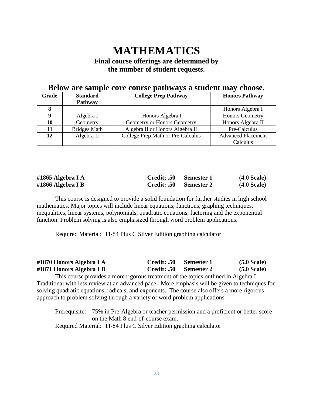# **MATHEMATICS**

## **Final course offerings are determined by the number of student requests.**

### **Below are sample core course pathways a student may choose.**

| <b>Grade</b> | <b>Standard</b>     | <b>College Prep Pathway</b>       | <b>Honors Pathway</b>     |
|--------------|---------------------|-----------------------------------|---------------------------|
|              | <b>Pathway</b>      |                                   |                           |
|              |                     |                                   | Honors Algebra I          |
|              | Algebra I           | Honors Algebra I                  | <b>Honors Geometry</b>    |
| 10           | Geometry            | Geometry or Honors Geometry       | Honors Algebra II         |
| 11           | <b>Bridges Math</b> | Algebra II or Honors Algebra II   | Pre-Calculus              |
| 12           | Algebra II          | College Prep Math or Pre-Calculus | <b>Advanced Placement</b> |
|              |                     |                                   | Calculus                  |

| #1865 Algebra I A | Credit; .50 Semester 1 | $(4.0 \text{ Scale})$ |
|-------------------|------------------------|-----------------------|
| #1866 Algebra I B | Credit: .50 Semester 2 | $(4.0 \text{ Scale})$ |

This course is designed to provide a solid foundation for further studies in high school mathematics. Major topics will include linear equations, functions, graphing techniques, inequalities, linear systems, polynomials, quadratic equations, factoring and the exponential function. Problem solving is also emphasized through word problem applications.

Required Material: TI-84 Plus C Silver Edition graphing calculator

| #1870 Honors Algebra I A | Credit: .50        | Semester 1 | $(5.0 \text{ Scale})$ |
|--------------------------|--------------------|------------|-----------------------|
| #1871 Honors Algebra I B | <b>Credit: .50</b> | Semester 2 | $(5.0 \text{ Scale})$ |

This course provides a more rigorous treatment of the topics outlined in Algebra I Traditional with less review at an advanced pace. More emphasis will be given to techniques for solving quadratic equations, radicals, and exponents. The course also offers a more rigorous approach to problem solving through a variety of word problem applications.

Prerequisite: 75% in Pre-Algebra or teacher permission and a proficient or better score on the Math 8 end-of-course exam. Required Material: TI-84 Plus C Silver Edition graphing calculator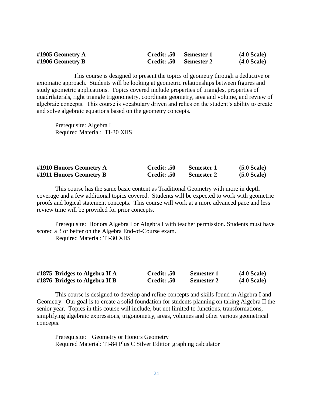| #1905 Geometry A | Credit: .50            | Semester 1 | $(4.0 \text{ Scale})$ |
|------------------|------------------------|------------|-----------------------|
| #1906 Geometry B | Credit: .50 Semester 2 |            | $(4.0 \text{ Scale})$ |

This course is designed to present the topics of geometry through a deductive or axiomatic approach. Students will be looking at geometric relationships between figures and study geometric applications. Topics covered include properties of triangles, properties of quadrilaterals, right triangle trigonometry, coordinate geometry, area and volume, and review of algebraic concepts. This course is vocabulary driven and relies on the student's ability to create and solve algebraic equations based on the geometry concepts.

Prerequisite: Algebra I Required Material: TI-30 XIIS

| #1910 Honors Geometry A | Credit: .50 | Semester 1        | $(5.0 \text{ Scale})$ |
|-------------------------|-------------|-------------------|-----------------------|
| #1911 Honors Geometry B | Credit: .50 | <b>Semester 2</b> | $(5.0 \text{ Scale})$ |

This course has the same basic content as Traditional Geometry with more in depth coverage and a few additional topics covered. Students will be expected to work with geometric proofs and logical statement concepts. This course will work at a more advanced pace and less review time will be provided for prior concepts.

Prerequisite: Honors Algebra I or Algebra I with teacher permission. Students must have scored a 3 or better on the Algebra End-of-Course exam.

Required Material: TI-30 XIIS

| #1875 Bridges to Algebra II A | Credit: .50 | Semester 1        | $(4.0$ Scale) |
|-------------------------------|-------------|-------------------|---------------|
| #1876 Bridges to Algebra II B | Credit: .50 | <b>Semester 2</b> | $(4.0$ Scale) |

This course is designed to develop and refine concepts and skills found in Algebra I and Geometry. Our goal is to create a solid foundation for students planning on taking Algebra II the senior year. Topics in this course will include, but not limited to functions, transformations, simplifying algebraic expressions, trigonometry, areas, volumes and other various geometrical concepts.

Prerequisite: Geometry or Honors Geometry Required Material: TI-84 Plus C Silver Edition graphing calculator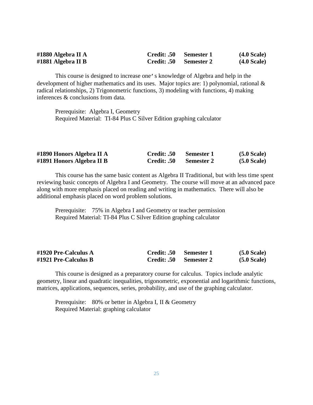| #1880 Algebra II A | Credit: .50 Semester 1 | $(4.0 \text{ Scale})$ |
|--------------------|------------------------|-----------------------|
| #1881 Algebra II B | Credit: .50 Semester 2 | $(4.0 \text{ Scale})$ |

This course is designed to increase one's knowledge of Algebra and help in the development of higher mathematics and its uses. Major topics are: 1) polynomial, rational & radical relationships, 2) Trigonometric functions, 3) modeling with functions, 4) making inferences & conclusions from data.

Prerequisite: Algebra I, Geometry Required Material: TI-84 Plus C Silver Edition graphing calculator

| #1890 Honors Algebra II A | Credit: .50 | Semester 1 | $(5.0 \text{ Scale})$ |
|---------------------------|-------------|------------|-----------------------|
| #1891 Honors Algebra II B | Credit: .50 | Semester 2 | (5.0 Scale)           |

This course has the same basic content as Algebra II Traditional, but with less time spent reviewing basic concepts of Algebra I and Geometry. The course will move at an advanced pace along with more emphasis placed on reading and writing in mathematics. There will also be additional emphasis placed on word problem solutions.

Prerequisite: 75% in Algebra I and Geometry or teacher permission Required Material: TI-84 Plus C Silver Edition graphing calculator

| #1920 Pre-Calculus $A$ | Credit: .50 Semester 1 |                        | (5.0 Scale)           |
|------------------------|------------------------|------------------------|-----------------------|
| #1921 Pre-Calculus B   |                        | Credit: .50 Semester 2 | $(5.0 \text{ Scale})$ |

This course is designed as a preparatory course for calculus. Topics include analytic geometry, linear and quadratic inequalities, trigonometric, exponential and logarithmic functions, matrices, applications, sequences, series, probability, and use of the graphing calculator.

Prerequisite: 80% or better in Algebra I, II & Geometry Required Material: graphing calculator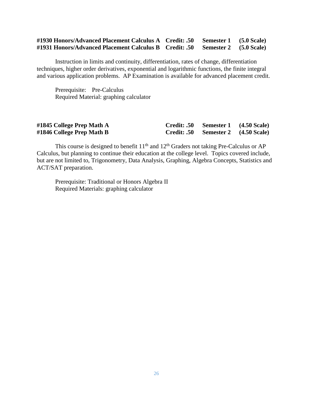### **#1930 Honors/Advanced Placement Calculus A Credit: .50 Semester 1 (5.0 Scale) #1931 Honors/Advanced Placement Calculus B Credit: .50 Semester 2 (5.0 Scale)**

Instruction in limits and continuity, differentiation, rates of change, differentiation techniques, higher order derivatives, exponential and logarithmic functions, the finite integral and various application problems. AP Examination is available for advanced placement credit.

Prerequisite: Pre-Calculus Required Material: graphing calculator

| #1845 College Prep Math A | Credit: .50 Semester 1 (4.50 Scale) |  |
|---------------------------|-------------------------------------|--|
| #1846 College Prep Math B | Credit: .50 Semester 2 (4.50 Scale) |  |

This course is designed to benefit  $11<sup>th</sup>$  and  $12<sup>th</sup>$  Graders not taking Pre-Calculus or AP Calculus, but planning to continue their education at the college level. Topics covered include, but are not limited to, Trigonometry, Data Analysis, Graphing, Algebra Concepts, Statistics and ACT/SAT preparation.

Prerequisite: Traditional or Honors Algebra II Required Materials: graphing calculator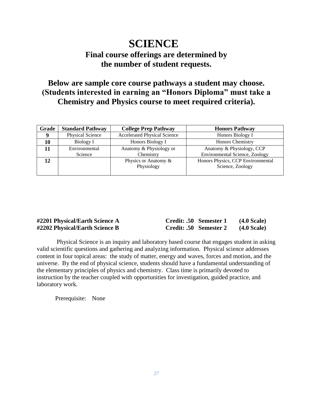# **SCIENCE**

# **Final course offerings are determined by the number of student requests.**

# **Below are sample core course pathways a student may choose. (Students interested in earning an "Honors Diploma" must take a Chemistry and Physics course to meet required criteria).**

| Grade | <b>Standard Pathway</b> | <b>College Prep Pathway</b>         | <b>Honors Pathway</b>                                 |
|-------|-------------------------|-------------------------------------|-------------------------------------------------------|
|       | Physical Science        | <b>Accelerated Physical Science</b> | Honors Biology I                                      |
| 10    | Biology I               | Honors Biology I                    | <b>Honors Chemistry</b>                               |
|       | Environmental           | Anatomy & Physiology or             | Anatomy & Physiology, CCP                             |
|       | Science                 | Chemistry                           | Environmental Science, Zoology                        |
| 12    |                         | Physics or Anatomy &<br>Physiology  | Honors Physics, CCP Environmental<br>Science, Zoology |

| #2201 Physical/Earth Science A | Credit: .50 Semester 1 | $(4.0$ Scale)      |
|--------------------------------|------------------------|--------------------|
| #2202 Physical/Earth Science B | Credit: .50 Semester 2 | <b>(4.0 Scale)</b> |

Physical Science is an inquiry and laboratory based course that engages student in asking valid scientific questions and gathering and analyzing information. Physical science addresses content in four topical areas: the study of matter, energy and waves, forces and motion, and the universe. By the end of physical science, students should have a fundamental understanding of the elementary principles of physics and chemistry. Class time is primarily devoted to instruction by the teacher coupled with opportunities for investigation, guided practice, and laboratory work.

Prerequisite: None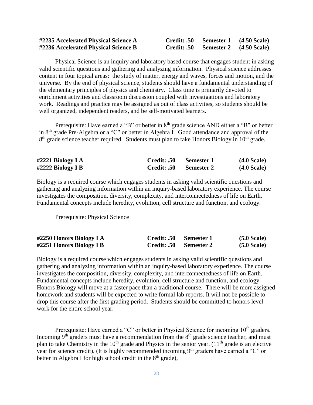| #2235 Accelerated Physical Science A | Credit: .50 | Semester 1 (4.50 Scale) |  |
|--------------------------------------|-------------|-------------------------|--|
| #2236 Accelerated Physical Science B | Credit: .50 | Semester 2 (4.50 Scale) |  |

Physical Science is an inquiry and laboratory based course that engages student in asking valid scientific questions and gathering and analyzing information. Physical science addresses content in four topical areas: the study of matter, energy and waves, forces and motion, and the universe. By the end of physical science, students should have a fundamental understanding of the elementary principles of physics and chemistry. Class time is primarily devoted to enrichment activities and classroom discussion coupled with investigations and laboratory work. Readings and practice may be assigned as out of class activities, so students should be well organized, independent readers, and be self-motivated learners.

Prerequisite: Have earned a "B" or better in 8<sup>th</sup> grade science AND either a "B" or better in 8th grade Pre-Algebra or a "C" or better in Algebra I. Good attendance and approval of the 8<sup>th</sup> grade science teacher required. Students must plan to take Honors Biology in 10<sup>th</sup> grade.

| #2221 Biology I $\bf{A}$ | <b>Credit: .50</b>     | Semester 1 | (4.0 Scale)           |
|--------------------------|------------------------|------------|-----------------------|
| #2222 Biology I B        | Credit: .50 Semester 2 |            | $(4.0 \text{ Scale})$ |

Biology is a required course which engages students in asking valid scientific questions and gathering and analyzing information within an inquiry-based laboratory experience. The course investigates the composition, diversity, complexity, and interconnectedness of life on Earth. Fundamental concepts include heredity, evolution, cell structure and function, and ecology.

Prerequisite: Physical Science

| #2250 Honors Biology I A | Credit: .50 | Semester 1 | $(5.0 \text{ Scale})$ |
|--------------------------|-------------|------------|-----------------------|
| #2251 Honors Biology I B | Credit: .50 | Semester 2 | $(5.0 \text{ Scale})$ |

Biology is a required course which engages students in asking valid scientific questions and gathering and analyzing information within an inquiry-based laboratory experience. The course investigates the composition, diversity, complexity, and interconnectedness of life on Earth. Fundamental concepts include heredity, evolution, cell structure and function, and ecology. Honors Biology will move at a faster pace than a traditional course. There will be more assigned homework and students will be expected to write formal lab reports. It will not be possible to drop this course after the first grading period. Students should be committed to honors level work for the entire school year.

Prerequisite: Have earned a "C" or better in Physical Science for incoming 10<sup>th</sup> graders. Incoming  $9<sup>th</sup>$  graders must have a recommendation from the  $8<sup>th</sup>$  grade science teacher, and must plan to take Chemistry in the  $10<sup>th</sup>$  grade and Physics in the senior year. ( $11<sup>th</sup>$  grade is an elective year for science credit). (It is highly recommended incoming 9<sup>th</sup> graders have earned a "C" or better in Algebra I for high school credit in the  $8<sup>th</sup>$  grade),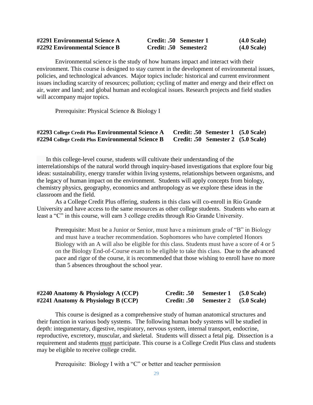| #2291 Environmental Science A | Credit: .50 Semester 1 | (4.0 Scale) |
|-------------------------------|------------------------|-------------|
| #2292 Environmental Science B | Credit: .50 Semester2  | (4.0 Scale) |

Environmental science is the study of how humans impact and interact with their environment. This course is designed to stay current in the development of environmental issues, policies, and technological advances. Major topics include: historical and current environment issues including scarcity of resources; pollution; cycling of matter and energy and their effect on air, water and land; and global human and ecological issues. Research projects and field studies will accompany major topics.

Prerequisite: Physical Science & Biology I

### **#2293 College Credit Plus Environmental Science A Credit: .50 Semester 1 (5.0 Scale) #2294 College Credit Plus Environmental Science B Credit: .50 Semester 2 (5.0 Scale)**

 In this college-level course, students will cultivate their understanding of the interrelationships of the natural world through inquiry-based investigations that explore four big ideas: sustainability, energy transfer within living systems, relationships between organisms, and the legacy of human impact on the environment. Students will apply concepts from biology, chemistry physics, geography, economics and anthropology as we explore these ideas in the classroom and the field.

As a College Credit Plus offering, students in this class will co-enroll in Rio Grande University and have access to the same resources as other college students. Students who earn at least a "C" in this course, will earn 3 college credits through Rio Grande University.

Prerequisite: Must be a Junior or Senior, must have a minimum grade of "B" in Biology and must have a teacher recommendation. Sophomores who have completed Honors Biology with an A will also be eligible for this class. Students must have a score of 4 or 5 on the Biology End-of-Course exam to be eligible to take this class. Due to the advanced pace and rigor of the course, it is recommended that those wishing to enroll have no more than 5 absences throughout the school year.

| #2240 Anatomy & Physiology A $(CCP)$  | Credit: .50 Semester 1 (5.0 Scale) |  |
|---------------------------------------|------------------------------------|--|
| $\#2241$ Anatomy & Physiology B (CCP) | Credit: .50 Semester 2 (5.0 Scale) |  |

This course is designed as a comprehensive study of human anatomical structures and their function in various body systems. The following human body systems will be studied in depth: integumentary, digestive, respiratory, nervous system, internal transport, endocrine, reproductive, excretory, muscular, and skeletal. Students will dissect a fetal pig. Dissection is a requirement and students must participate. This course is a College Credit Plus class and students may be eligible to receive college credit.

Prerequisite: Biology I with a "C" or better and teacher permission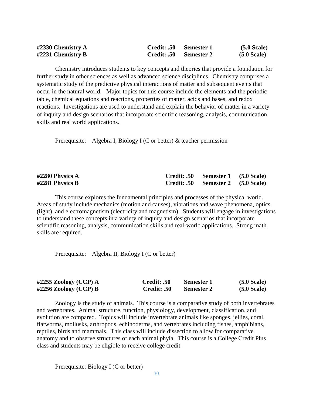| #2330 Chemistry $A$  | Credit: .50 Semester 1 | $(5.0 \text{ Scale})$ |
|----------------------|------------------------|-----------------------|
| $\#2231$ Chemistry B | Credit: .50 Semester 2 | $(5.0 \text{ Scale})$ |

Chemistry introduces students to key concepts and theories that provide a foundation for further study in other sciences as well as advanced science disciplines. Chemistry comprises a systematic study of the predictive physical interactions of matter and subsequent events that occur in the natural world. Major topics for this course include the elements and the periodic table, chemical equations and reactions, properties of matter, acids and bases, and redox reactions. Investigations are used to understand and explain the behavior of matter in a variety of inquiry and design scenarios that incorporate scientific reasoning, analysis, communication skills and real world applications.

Prerequisite: Algebra I, Biology I (C or better) & teacher permission

| #2280 Physics A   | Credit: .50 Semester 1 (5.0 Scale) |  |
|-------------------|------------------------------------|--|
| #2281 Physics $B$ | Credit: .50 Semester 2 (5.0 Scale) |  |

This course explores the fundamental principles and processes of the physical world. Areas of study include mechanics (motion and causes), vibrations and wave phenomena, optics (light), and electromagnetism (electricity and magnetism). Students will engage in investigations to understand these concepts in a variety of inquiry and design scenarios that incorporate scientific reasoning, analysis, communication skills and real-world applications. Strong math skills are required.

Prerequisite: Algebra II, Biology I (C or better)

| #2255 Zoology (CCP) $A$ | Credit: .50 | <b>Semester 1</b> | $(5.0 \text{ Scale})$ |
|-------------------------|-------------|-------------------|-----------------------|
| #2256 Zoology (CCP) B   | Credit: .50 | <b>Semester 2</b> | $(5.0 \text{ Scale})$ |

Zoology is the study of animals. This course is a comparative study of both invertebrates and vertebrates. Animal structure, function, physiology, development, classification, and evolution are compared. Topics will include invertebrate animals like sponges, jellies, coral, flatworms, mollusks, arthropods, echinoderms, and vertebrates including fishes, amphibians, reptiles, birds and mammals. This class will include dissection to allow for comparative anatomy and to observe structures of each animal phyla. This course is a College Credit Plus class and students may be eligible to receive college credit.

Prerequisite: Biology I (C or better)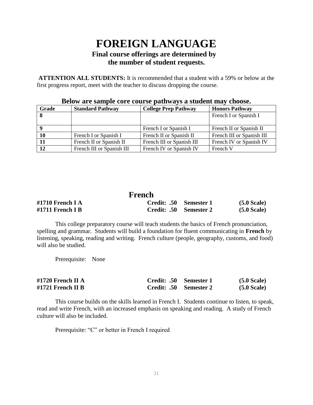# **FOREIGN LANGUAGE Final course offerings are determined by the number of student requests.**

**ATTENTION ALL STUDENTS:** It is recommended that a student with a 59% or below at the first progress report, meet with the teacher to discuss dropping the course.

| Grade | <b>Standard Pathway</b>   | <b>College Prep Pathway</b> | <b>Honors Pathway</b>     |
|-------|---------------------------|-----------------------------|---------------------------|
|       |                           |                             | French I or Spanish I     |
|       |                           |                             |                           |
|       |                           | French I or Spanish I       | French II or Spanish II   |
| 10    | French I or Spanish I     | French II or Spanish II     | French III or Spanish III |
|       | French II or Spanish II   | French III or Spanish III   | French IV or Spanish IV   |
| 12    | French III or Spanish III | French IV or Spanish IV     | French V                  |

### **Below are sample core course pathways a student may choose.**

### **French #1710 French I A Credit: .50 Semester 1 (5.0 Scale) #1711 French I B Credit: .50 Semester 2 (5.0 Scale)**

This college preparatory course will teach students the basics of French pronunciation, spelling and grammar. Students will build a foundation for fluent communicating in **French** by listening, speaking, reading and writing. French culture (people, geography, customs, and food) will also be studied.

Prerequisite: None

| #1720 French II A | Credit: .50 Semester 1 | $(5.0 \text{ Scale})$ |
|-------------------|------------------------|-----------------------|
| #1721 French II B | Credit: .50 Semester 2 | $(5.0 \text{ Scale})$ |

This course builds on the skills learned in French I. Students continue to listen, to speak, read and write French, with an increased emphasis on speaking and reading. A study of French culture will also be included.

Prerequisite: "C" or better in French I required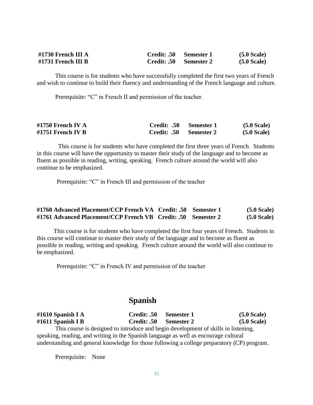| $\#1730$ French III A | <b>Credit: .50</b> | – Semester 1 | $(5.0 \text{ Scale})$ |
|-----------------------|--------------------|--------------|-----------------------|
| $\#1731$ French III B | <b>Credit: .50</b> | Semester 2   | $(5.0 \text{ Scale})$ |

This course is for students who have successfully completed the first two years of French and wish to continue to build their fluency and understanding of the French language and culture.

Prerequisite: "C" in French II and permission of the teacher.

| #1750 French IV $A$ | Credit: .50 Semester 1 | $(5.0 \text{ Scale})$ |
|---------------------|------------------------|-----------------------|
| #1751 French IV B   | Credit: .50 Semester 2 | $(5.0 \text{ Scale})$ |

This course is for students who have completed the first three years of French. Students in this course will have the opportunity to master their study of the language and to become as fluent as possible in reading, writing, speaking. French culture around the world will also continue to be emphasized.

Prerequisite: "C" in French III and permission of the teacher

| #1760 Advanced Placement/CCP French VA Credit: .50 Semester 1 |  | $(5.0 \text{ Scale})$ |
|---------------------------------------------------------------|--|-----------------------|
| #1761 Advanced Placement/CCP French VB Credit: .50 Semester 2 |  | $(5.0 \text{ Scale})$ |

 This course is for students who have completed the first four years of French. Students in this course will continue to master their study of the language and to become as fluent as possible in reading, writing and speaking. French culture around the world will also continue to be emphasized.

Prerequisite: "C" in French IV and permission of the teacher

## **Spanish**

| #1610 Spanish I A                                                                    | Credit: .50 | Semester 1        | $(5.0 \text{ Scale})$ |  |  |
|--------------------------------------------------------------------------------------|-------------|-------------------|-----------------------|--|--|
| #1611 Spanish I B                                                                    | Credit: .50 | <b>Semester 2</b> | $(5.0 \text{ Scale})$ |  |  |
| This course is designed to introduce and begin development of skills in listening,   |             |                   |                       |  |  |
| speaking, reading, and writing in the Spanish language as well as encourage cultural |             |                   |                       |  |  |
|                                                                                      |             |                   |                       |  |  |

understanding and general knowledge for those following a college preparatory (CP) program.

Prerequisite: None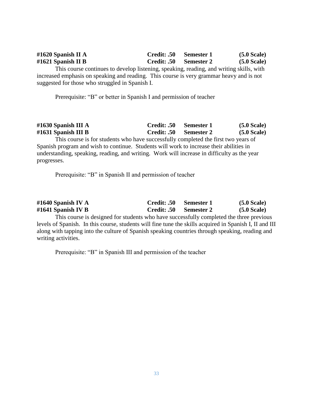| #1620 Spanish II A | Credit: .50 Semester 1 | $(5.0 \text{ Scale})$ |
|--------------------|------------------------|-----------------------|
| #1621 Spanish II B | Credit: .50 Semester 2 | $(5.0 \text{ Scale})$ |

This course continues to develop listening, speaking, reading, and writing skills, with increased emphasis on speaking and reading. This course is very grammar heavy and is not suggested for those who struggled in Spanish I.

Prerequisite: "B" or better in Spanish I and permission of teacher

| #1630 Spanish III A | Credit: .50 Semester 1 | $(5.0 \text{ Scale})$ |
|---------------------|------------------------|-----------------------|
| #1631 Spanish III B | Credit: .50 Semester 2 | $(5.0 \text{ Scale})$ |
|                     |                        |                       |

This course is for students who have successfully completed the first two years of Spanish program and wish to continue. Students will work to increase their abilities in understanding, speaking, reading, and writing. Work will increase in difficulty as the year progresses.

Prerequisite: "B" in Spanish II and permission of teacher

| #1640 Spanish IV A                                                                                      | Credit: .50 | <b>Semester 1</b> | $(5.0 \text{ Scale})$ |
|---------------------------------------------------------------------------------------------------------|-------------|-------------------|-----------------------|
| #1641 Spanish IV B                                                                                      | Credit: .50 | <b>Semester 2</b> | (5.0 Scale)           |
| This course is designed for students who have successfully completed the three previous                 |             |                   |                       |
| levels of Spanish. In this course, students will fine tune the skills acquired in Spanish I, II and III |             |                   |                       |
| along with tapping into the culture of Spanish speaking countries through speaking, reading and         |             |                   |                       |

Prerequisite: "B" in Spanish III and permission of the teacher

writing activities.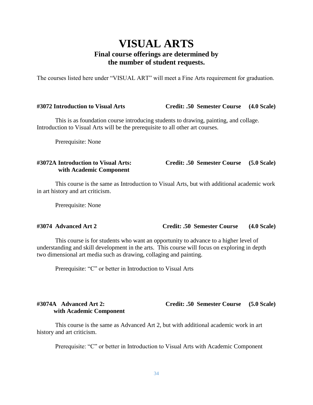# **VISUAL ARTS Final course offerings are determined by the number of student requests.**

The courses listed here under "VISUAL ART" will meet a Fine Arts requirement for graduation.

### **#3072 Introduction to Visual Arts Credit: .50 Semester Course (4.0 Scale)**

This is as foundation course introducing students to drawing, painting, and collage. Introduction to Visual Arts will be the prerequisite to all other art courses.

Prerequisite: None

# **with Academic Component**

**#3072A Introduction to Visual Arts: Credit: .50 Semester Course (5.0 Scale)**

This course is the same as Introduction to Visual Arts, but with additional academic work in art history and art criticism.

Prerequisite: None

### **#3074 Advanced Art 2 Credit: .50 Semester Course (4.0 Scale)**

This course is for students who want an opportunity to advance to a higher level of understanding and skill development in the arts. This course will focus on exploring in depth two dimensional art media such as drawing, collaging and painting.

Prerequisite: "C" or better in Introduction to Visual Arts

### **#3074A Advanced Art 2: Credit: .50 Semester Course (5.0 Scale) with Academic Component**

This course is the same as Advanced Art 2, but with additional academic work in art history and art criticism.

Prerequisite: "C" or better in Introduction to Visual Arts with Academic Component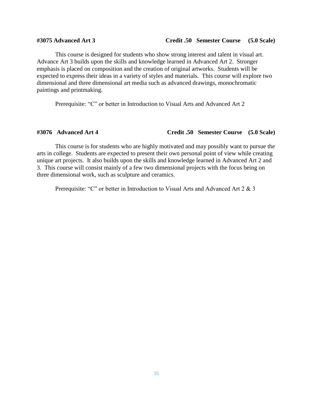### **#3075 Advanced Art 3 Credit .50 Semester Course (5.0 Scale)**

This course is designed for students who show strong interest and talent in visual art. Advance Art 3 builds upon the skills and knowledge learned in Advanced Art 2. Stronger emphasis is placed on composition and the creation of original artworks. Students will be expected to express their ideas in a variety of styles and materials. This course will explore two dimensional and three dimensional art media such as advanced drawings, monochromatic paintings and printmaking.

Prerequisite: "C" or better in Introduction to Visual Arts and Advanced Art 2

### **#3076 Advanced Art 4 Credit .50 Semester Course (5.0 Scale)**

This course is for students who are highly motivated and may possibly want to pursue the arts in college. Students are expected to present their own personal point of view while creating unique art projects. It also builds upon the skills and knowledge learned in Advanced Art 2 and 3. This course will consist mainly of a few two dimensional projects with the focus being on three dimensional work, such as sculpture and ceramics.

Prerequisite: "C" or better in Introduction to Visual Arts and Advanced Art 2 & 3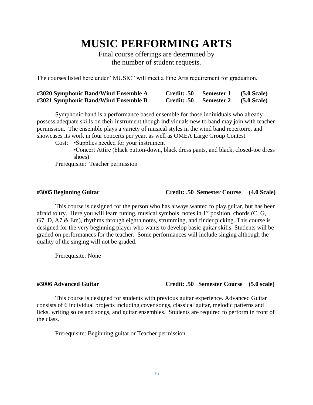# **MUSIC PERFORMING ARTS**

Final course offerings are determined by the number of student requests.

The courses listed here under "MUSIC" will meet a Fine Arts requirement for graduation.

| #3020 Symphonic Band/Wind Ensemble A | Credit: .50 | Semester 1        | $(5.0 \text{ Scale})$ |
|--------------------------------------|-------------|-------------------|-----------------------|
| #3021 Symphonic Band/Wind Ensemble B | Credit: .50 | <b>Semester 2</b> | $(5.0 \text{ Scale})$ |

Symphonic band is a performance based ensemble for those individuals who already possess adequate skills on their instrument though individuals new to band may join with teacher permission. The ensemble plays a variety of musical styles in the wind band repertoire, and showcases its work in four concerts per year, as well as OMEA Large Group Contest*.*

Cost: •Supplies needed for your instrument

•Concert Attire (black button-down, black dress pants, and black, closed-toe dress shoes)

Prerequisite: Teacher permission

### **#3005 Beginning Guitar Credit: .50 Semester Course (4.0 Scale)**

This course is designed for the person who has always wanted to play guitar, but has been afraid to try. Here you will learn tuning, musical symbols, notes in  $1<sup>st</sup>$  position, chords (C, G, G7, D, A7 & Em), rhythms through eighth notes, strumming, and finder picking. This course is designed for the very beginning player who wants to develop basic guitar skills. Students will be graded on performances for the teacher. Some performances will include singing although the quality of the singing will not be graded.

Prerequisite: None

### **#3006 Advanced Guitar Credit: .50 Semester Course (5.0 scale)**

This course is designed for students with previous guitar experience. Advanced Guitar consists of 6 individual projects including cover songs, classical guitar, melodic patterns and licks, writing solos and songs, and guitar ensembles. Students are required to perform in front of the class.

Prerequisite: Beginning guitar or Teacher permission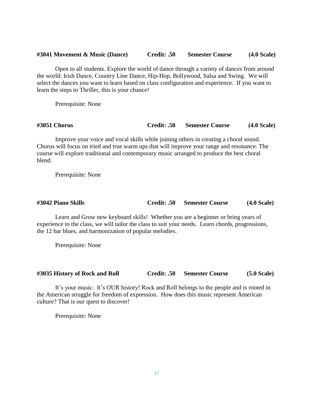### **#3041 Movement & Music (Dance) Credit: .50 Semester Course (4.0 Scale)**

Open to all students. Explore the world of dance through a variety of dances from around the world: Irish Dance, Country Line Dance, Hip-Hop, Bollywood, Salsa and Swing. We will select the dances you want to learn based on class configuration and experience. If you want to learn the steps to Thriller, this is your chance!

Prerequisite: None

**#3051 Chorus Credit: .50 Semester Course (4.0 Scale)**

Improve your voice and vocal skills while joining others in creating a choral sound. Chorus will focus on tried and true warm ups that will improve your range and resonance. The course will explore traditional and contemporary music arranged to produce the best choral blend.

Prerequisite: None

**#3042 Piano Skills Credit: .50 Semester Course (4.0 Scale)**

Learn and Grow new keyboard skills! Whether you are a beginner or bring years of experience to the class, we will tailor the class to suit your needs. Learn chords, progressions, the 12 bar blues, and harmonization of popular melodies.

Prerequisite: None

### **#3035 History of Rock and Roll Credit: .50 Semester Course (5.0 Scale)**

It's your music. It's OUR history! Rock and Roll belongs to the people and is rooted in the American struggle for freedom of expression. How does this music represent American culture? That is our quest to discover!

Prerequisite: None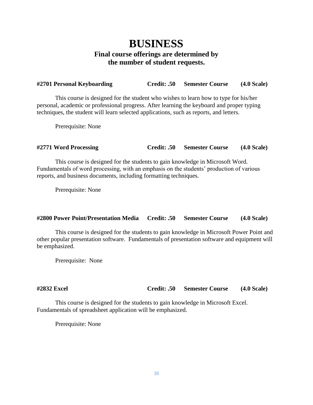# **BUSINESS Final course offerings are determined by the number of student requests.**

| #2701 Personal Keyboarding | <b>Credit: .50</b> | <b>Semester Course</b> | $(4.0 \text{ Scale})$ |
|----------------------------|--------------------|------------------------|-----------------------|
|                            |                    |                        |                       |

This course is designed for the student who wishes to learn how to type for his/her personal, academic or professional progress. After learning the keyboard and proper typing techniques, the student will learn selected applications, such as reports, and letters.

Prerequisite: None

### **#2771 Word Processing Credit: .50 Semester Course (4.0 Scale)**

This course is designed for the students to gain knowledge in Microsoft Word. Fundamentals of word processing, with an emphasis on the students' production of various reports, and business documents, including formatting techniques.

Prerequisite: None

### **#2800 Power Point/Presentation Media Credit: .50 Semester Course (4.0 Scale)**

This course is designed for the students to gain knowledge in Microsoft Power Point and other popular presentation software. Fundamentals of presentation software and equipment will be emphasized.

Prerequisite: None

**#2832 Excel Credit: .50 Semester Course (4.0 Scale)**

This course is designed for the students to gain knowledge in Microsoft Excel. Fundamentals of spreadsheet application will be emphasized.

Prerequisite: None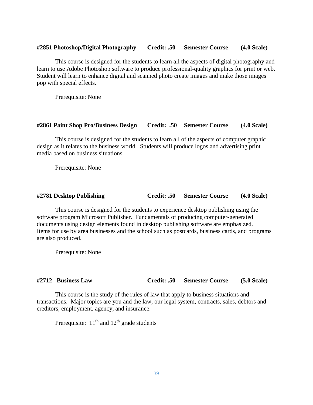### **#2851 Photoshop/Digital Photography Credit: .50 Semester Course (4.0 Scale)**

This course is designed for the students to learn all the aspects of digital photography and learn to use Adobe Photoshop software to produce professional-quality graphics for print or web. Student will learn to enhance digital and scanned photo create images and make those images pop with special effects.

Prerequisite: None

### **#2861 Paint Shop Pro/Business Design Credit: .50 Semester Course (4.0 Scale)**

This course is designed for the students to learn all of the aspects of computer graphic design as it relates to the business world. Students will produce logos and advertising print media based on business situations.

Prerequisite: None

### **#2781 Desktop Publishing Credit: .50 Semester Course (4.0 Scale)**

This course is designed for the students to experience desktop publishing using the software program Microsoft Publisher. Fundamentals of producing computer-generated documents using design elements found in desktop publishing software are emphasized. Items for use by area businesses and the school such as postcards, business cards, and programs are also produced.

Prerequisite: None

### **#2712 Business Law Credit: .50 Semester Course (5.0 Scale)**

This course is the study of the rules of law that apply to business situations and transactions. Major topics are you and the law, our legal system, contracts, sales, debtors and creditors, employment, agency, and insurance.

Prerequisite:  $11<sup>th</sup>$  and  $12<sup>th</sup>$  grade students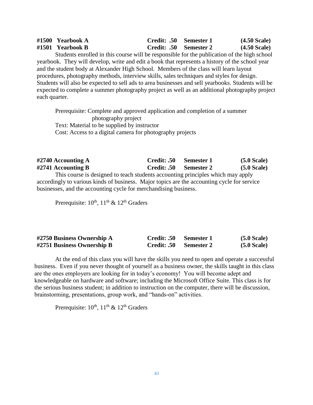| #1500 Yearbook A                                                                            | Credit: .50 Semester 1 | $(4.50$ Scale)         |
|---------------------------------------------------------------------------------------------|------------------------|------------------------|
| #1501 Yearbook B                                                                            | Credit: .50 Semester 2 | $(4.50 \text{ Scale})$ |
| Students enrolled in this course will be responsible for the publication of the high school |                        |                        |

Students enrolled in this course will be responsible for the publication of the high school yearbook. They will develop, write and edit a book that represents a history of the school year and the student body at Alexander High School. Members of the class will learn layout procedures, photography methods, interview skills, sales techniques and styles for design. Students will also be expected to sell ads to area businesses and sell yearbooks. Students will be expected to complete a summer photography project as well as an additional photography project each quarter.

Prerequisite: Complete and approved application and completion of a summer photography project Text: Material to be supplied by instructor Cost: Access to a digital camera for photography projects

| $#2740$ Accounting A                                                                        | Credit: .50        | – Semester 1      | $(5.0 \text{ Scale})$ |  |  |
|---------------------------------------------------------------------------------------------|--------------------|-------------------|-----------------------|--|--|
| $\#2741$ Accounting B                                                                       | <b>Credit: .50</b> | <b>Semester 2</b> | $(5.0 \text{ Scale})$ |  |  |
| This course is designed to teach students accounting principles which may apply             |                    |                   |                       |  |  |
| accordingly to various kinds of business. Major topics are the accounting cycle for service |                    |                   |                       |  |  |

businesses, and the accounting cycle for merchandising business.

Prerequisite:  $10^{th}$ ,  $11^{th}$  &  $12^{th}$  Graders

| #2750 Business Ownership A | Credit: .50 | Semester 1        | (5.0 Scale)           |
|----------------------------|-------------|-------------------|-----------------------|
| #2751 Business Ownership B | Credit: .50 | <b>Semester 2</b> | $(5.0 \text{ Scale})$ |

At the end of this class you will have the skills you need to open and operate a successful business. Even if you never thought of yourself as a business owner, the skills taught in this class are the ones employers are looking for in today's economy! You will become adept and knowledgeable on hardware and software; including the Microsoft Office Suite. This class is for the serious business student; in addition to instruction on the computer, there will be discussion, brainstorming, presentations, group work, and "hands-on" activities.

Prerequisite:  $10^{th}$ ,  $11^{th}$  &  $12^{th}$  Graders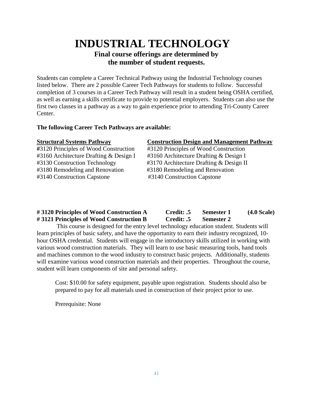# **INDUSTRIAL TECHNOLOGY**

### **Final course offerings are determined by the number of student requests.**

Students can complete a Career Technical Pathway using the Industrial Technology courses listed below. There are 2 possible Career Tech Pathways for students to follow. Successful completion of 3 courses in a Career Tech Pathway will result in a student being OSHA certified, as well as earning a skills certificate to provide to potential employers. Students can also use the first two classes in a pathway as a way to gain experience prior to attending Tri-County Career Center.

### **The following Career Tech Pathways are available:**

#3180 Remodeling and Renovation #3180 Remodeling and Renovation #3140 Construction Capstone #3140 Construction Capstone

### **Structural Systems Pathway Construction Design and Management Pathway**

**#**3120 Principles of Wood Construction #3120 Principles of Wood Construction #3160 Architecture Drafting & Design I #3160 Architecture Drafting & Design I #3130 Construction Technology #3170 Architecture Drafting & Design II

### **# 3120 Principles of Wood Construction A Credit: .5 Semester 1 (4.0 Scale) # 3121 Principles of Wood Construction B Credit: .5 Semester 2**

This course is designed for the entry level technology education student. Students will learn principles of basic safety, and have the opportunity to earn their industry recognized, 10 hour OSHA credential. Students will engage in the introductory skills utilized in working with various wood construction materials. They will learn to use basic measuring tools, hand tools and machines common to the wood industry to construct basic projects. Additionally, students will examine various wood construction materials and their properties. Throughout the course, student will learn components of site and personal safety.

Cost: \$10.00 for safety equipment, payable upon registration. Students should also be prepared to pay for all materials used in construction of their project prior to use.

Prerequisite: None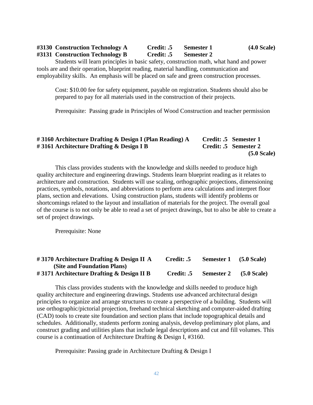| #3130 Construction Technology A | Credit: .5        | Semester 1        | $(4.0 \text{ Scale})$ |
|---------------------------------|-------------------|-------------------|-----------------------|
| #3131 Construction Technology B | <b>Credit: .5</b> | <b>Semester 2</b> |                       |

Students will learn principles in basic safety, construction math, what hand and power tools are and their operation, blueprint reading, material handling, communication and employability skills. An emphasis will be placed on safe and green construction processes.

Cost: \$10.00 fee for safety equipment, payable on registration. Students should also be prepared to pay for all materials used in the construction of their projects.

Prerequisite: Passing grade in Principles of Wood Construction and teacher permission

|                                                         | $(5.0 \text{ Scale})$ |
|---------------------------------------------------------|-----------------------|
| #3161 Architecture Drafting & Design I B                | Credit: .5 Semester 2 |
| #3160 Architecture Drafting & Design I (Plan Reading) A | Credit: .5 Semester 1 |

This class provides students with the knowledge and skills needed to produce high quality architecture and engineering drawings. Students learn blueprint reading as it relates to architecture and construction. Students will use scaling, orthographic projections, dimensioning practices, symbols, notations, and abbreviations to perform area calculations and interpret floor plans, section and elevations. Using construction plans, students will identify problems or shortcomings related to the layout and installation of materials for the project. The overall goal of the course is to not only be able to read a set of project drawings, but to also be able to create a set of project drawings.

Prerequisite: None

| #3170 Architecture Drafting $\&$ Design II A  | Credit: .5 | <b>Semester 1</b> | $(5.0 \text{ Scale})$ |
|-----------------------------------------------|------------|-------------------|-----------------------|
| (Site and Foundation Plans)                   |            |                   |                       |
| $\#$ 3171 Architecture Drafting & Design II B | Credit: .5 | <b>Semester 2</b> | $(5.0 \text{ Scale})$ |

This class provides students with the knowledge and skills needed to produce high quality architecture and engineering drawings. Students use advanced architectural design principles to organize and arrange structures to create a perspective of a building. Students will use orthographic/pictorial projection, freehand technical sketching and computer-aided drafting (CAD) tools to create site foundation and section plans that include topographical details and schedules. Additionally, students perform zoning analysis, develop preliminary plot plans, and construct grading and utilities plans that include legal descriptions and cut and fill volumes. This course is a continuation of Architecture Drafting & Design I, #3160.

Prerequisite: Passing grade in Architecture Drafting & Design I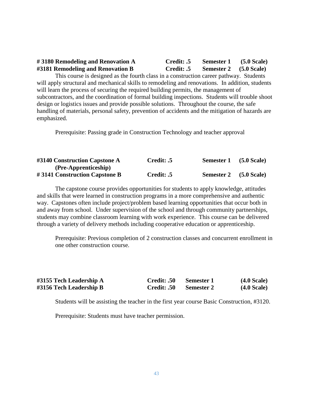### **# 3180 Remodeling and Renovation A Credit: .5 Semester 1 (5.0 Scale) #3181 Remodeling and Renovation B Credit: .5 Semester 2 (5.0 Scale)**

This course is designed as the fourth class in a construction career pathway. Students will apply structural and mechanical skills to remodeling and renovations. In addition, students will learn the process of securing the required building permits, the management of subcontractors, and the coordination of formal building inspections. Students will trouble shoot design or logistics issues and provide possible solutions. Throughout the course, the safe handling of materials, personal safety, prevention of accidents and the mitigation of hazards are emphasized.

Prerequisite: Passing grade in Construction Technology and teacher approval

| #3140 Construction Capstone A | Credit: .5 | Semester 1             | $(5.0 \text{ Scale})$ |
|-------------------------------|------------|------------------------|-----------------------|
| (Pre-Apprenticeship)          |            |                        |                       |
| #3141 Construction Capstone B | Credit: .5 | Semester 2 (5.0 Scale) |                       |

The capstone course provides opportunities for students to apply knowledge, attitudes and skills that were learned in construction programs in a more comprehensive and authentic way. Capstones often include project/problem based learning opportunities that occur both in and away from school. Under supervision of the school and through community partnerships, students may combine classroom learning with work experience. This course can be delivered through a variety of delivery methods including cooperative education or apprenticeship.

Prerequisite: Previous completion of 2 construction classes and concurrent enrollment in one other construction course.

| #3155 Tech Leadership A | <b>Credit: .50</b> | – Semester 1      | (4.0 Scale) |
|-------------------------|--------------------|-------------------|-------------|
| #3156 Tech Leadership B | Credit: .50        | <b>Semester 2</b> | (4.0 Scale) |

Students will be assisting the teacher in the first year course Basic Construction, #3120.

Prerequisite: Students must have teacher permission.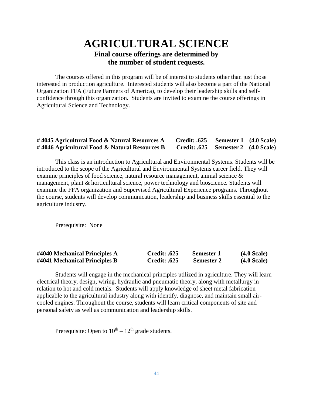# **AGRICULTURAL SCIENCE Final course offerings are determined by the number of student requests.**

The courses offered in this program will be of interest to students other than just those interested in production agriculture. Interested students will also become a part of the National Organization FFA (Future Farmers of America), to develop their leadership skills and selfconfidence through this organization. Students are invited to examine the course offerings in Agricultural Science and Technology.

### **# 4045 Agricultural Food & Natural Resources A Credit: .625 Semester 1 (4.0 Scale) # 4046 Agricultural Food & Natural Resources B Credit: .625 Semester 2 (4.0 Scale)**

This class is an introduction to Agricultural and Environmental Systems. Students will be introduced to the scope of the Agricultural and Environmental Systems career field. They will examine principles of food science, natural resource management, animal science & management, plant & horticultural science, power technology and bioscience. Students will examine the FFA organization and Supervised Agricultural Experience programs. Throughout the course, students will develop communication, leadership and business skills essential to the agriculture industry.

Prerequisite: None

| #4040 Mechanical Principles A | <b>Credit: .625</b> | <b>Semester 1</b> | (4.0 Scale) |
|-------------------------------|---------------------|-------------------|-------------|
| #4041 Mechanical Principles B | <b>Credit: .625</b> | <b>Semester 2</b> | (4.0 Scale) |

Students will engage in the mechanical principles utilized in agriculture. They will learn electrical theory, design, wiring, hydraulic and pneumatic theory, along with metallurgy in relation to hot and cold metals. Students will apply knowledge of sheet metal fabrication applicable to the agricultural industry along with identify, diagnose, and maintain small aircooled engines. Throughout the course, students will learn critical components of site and personal safety as well as communication and leadership skills.

Prerequisite: Open to  $10^{th} - 12^{th}$  grade students.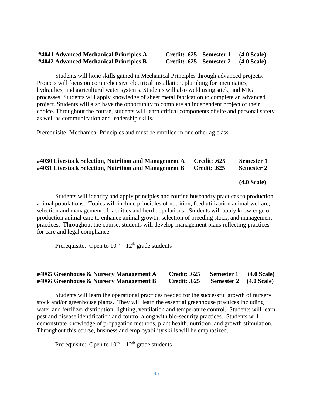### **#4041 Advanced Mechanical Principles A #4042 Advanced Mechanical Principles B Credit: .625 Semester 2 (4.0 Scale)**

| Credit: .625 Semester 1 | (4.0 Scale) |
|-------------------------|-------------|
| Credit: .625 Semester 2 | (4.0 Scale) |

Students will hone skills gained in Mechanical Principles through advanced projects. Projects will focus on comprehensive electrical installation, plumbing for pneumatics, hydraulics, and agricultural water systems. Students will also weld using stick, and MIG processes. Students will apply knowledge of sheet metal fabrication to complete an advanced project. Students will also have the opportunity to complete an independent project of their choice. Throughout the course, students will learn critical components of site and personal safety as well as communication and leadership skills.

Prerequisite: Mechanical Principles and must be enrolled in one other ag class

| #4030 Livestock Selection, Nutrition and Management A | <b>Credit: .625</b> | Semester 1        |
|-------------------------------------------------------|---------------------|-------------------|
| #4031 Livestock Selection, Nutrition and Management B | <b>Credit: .625</b> | <b>Semester 2</b> |

 **(4.0 Scale)** 

Students will identify and apply principles and routine husbandry practices to production animal populations. Topics will include principles of nutrition, feed utilization animal welfare, selection and management of facilities and herd populations. Students will apply knowledge of production animal care to enhance animal growth, selection of breeding stock, and management practices. Throughout the course, students will develop management plans reflecting practices for care and legal compliance.

Prerequisite: Open to  $10^{th} - 12^{th}$  grade students

### **#4065 Greenhouse & Nursery Management A Credit: .625 Semester 1 (4.0 Scale) #4066 Greenhouse & Nursery Management B Credit: .625 Semester 2 (4.0 Scale)**

Students will learn the operational practices needed for the successful growth of nursery stock and/or greenhouse plants. They will learn the essential greenhouse practices including water and fertilizer distribution, lighting, ventilation and temperature control. Students will learn pest and disease identification and control along with bio-security practices. Students will demonstrate knowledge of propagation methods, plant health, nutrition, and growth stimulation. Throughout this course, business and employability skills will be emphasized.

Prerequisite: Open to  $10^{th} - 12^{th}$  grade students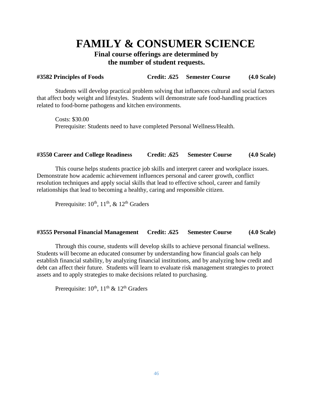# **FAMILY & CONSUMER SCIENCE**

## **Final course offerings are determined by the number of student requests.**

### **#3582 Principles of Foods Credit: .625 Semester Course (4.0 Scale)**

Students will develop practical problem solving that influences cultural and social factors that affect body weight and lifestyles. Students will demonstrate safe food-handling practices related to food-borne pathogens and kitchen environments.

Costs: \$30.00 Prerequisite: Students need to have completed Personal Wellness/Health.

### **#3550 Career and College Readiness Credit: .625 Semester Course (4.0 Scale)**

This course helps students practice job skills and interpret career and workplace issues. Demonstrate how academic achievement influences personal and career growth, conflict resolution techniques and apply social skills that lead to effective school, career and family relationships that lead to becoming a healthy, caring and responsible citizen.

Prerequisite:  $10^{th}$ ,  $11^{th}$ , &  $12^{th}$  Graders

### **#3555 Personal Financial Management Credit: .625 Semester Course (4.0 Scale)**

Through this course, students will develop skills to achieve personal financial wellness. Students will become an educated consumer by understanding how financial goals can help establish financial stability, by analyzing financial institutions, and by analyzing how credit and debt can affect their future. Students will learn to evaluate risk management strategies to protect assets and to apply strategies to make decisions related to purchasing.

Prerequisite:  $10^{th}$ ,  $11^{th}$  &  $12^{th}$  Graders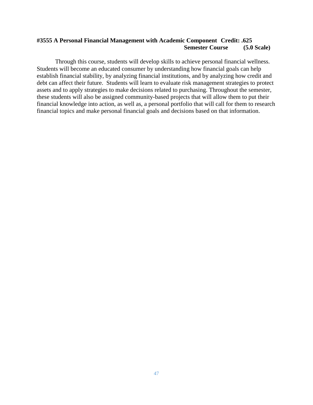### **#3555 A Personal Financial Management with Academic Component Credit: .625 Semester Course (5.0 Scale)**

Through this course, students will develop skills to achieve personal financial wellness. Students will become an educated consumer by understanding how financial goals can help establish financial stability, by analyzing financial institutions, and by analyzing how credit and debt can affect their future. Students will learn to evaluate risk management strategies to protect assets and to apply strategies to make decisions related to purchasing. Throughout the semester, these students will also be assigned community-based projects that will allow them to put their financial knowledge into action, as well as, a personal portfolio that will call for them to research financial topics and make personal financial goals and decisions based on that information.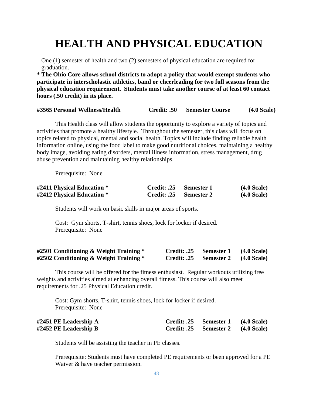# **HEALTH AND PHYSICAL EDUCATION**

One (1) semester of health and two (2) semesters of physical education are required for graduation.

**\* The Ohio Core allows school districts to adopt a policy that would exempt students who participate in interscholastic athletics, band or cheerleading for two full seasons from the physical education requirement. Students must take another course of at least 60 contact hours (.50 credit) in its place.**

| #3565 Personal Wellness/Health | <b>Credit: .50</b> | <b>Semester Course</b> | (4.0 Scale) |
|--------------------------------|--------------------|------------------------|-------------|
|                                |                    |                        |             |

This Health class will allow students the opportunity to explore a variety of topics and activities that promote a healthy lifestyle. Throughout the semester, this class will focus on topics related to physical, mental and social health. Topics will include finding reliable health information online, using the food label to make good nutritional choices, maintaining a healthy body image, avoiding eating disorders, mental illness information, stress management, drug abuse prevention and maintaining healthy relationships.

Prerequisite: None

| #2411 Physical Education * | Credit: .25 Semester 1 | (4.0 Scale)           |
|----------------------------|------------------------|-----------------------|
| #2412 Physical Education * | Credit: .25 Semester 2 | $(4.0 \text{ Scale})$ |

Students will work on basic skills in major areas of sports.

Cost: Gym shorts, T-shirt, tennis shoes, lock for locker if desired. Prerequisite: None

| #2501 Conditioning & Weight Training $*$ | Credit: .25 | Semester 1 | $(4.0 \text{ Scale})$ |
|------------------------------------------|-------------|------------|-----------------------|
| #2502 Conditioning & Weight Training *   | Credit: .25 | Semester 2 | $(4.0$ Scale)         |

This course will be offered for the fitness enthusiast. Regular workouts utilizing free weights and activities aimed at enhancing overall fitness. This course will also meet requirements for .25 Physical Education credit.

Cost: Gym shorts, T-shirt, tennis shoes, lock for locker if desired. Prerequisite: None

| #2451 PE Leadership A | Credit: .25 Semester 1 (4.0 Scale) |  |
|-----------------------|------------------------------------|--|
| #2452 PE Leadership B | Credit: .25 Semester 2 (4.0 Scale) |  |

Students will be assisting the teacher in PE classes.

Prerequisite: Students must have completed PE requirements or been approved for a PE Waiver  $&$  have teacher permission.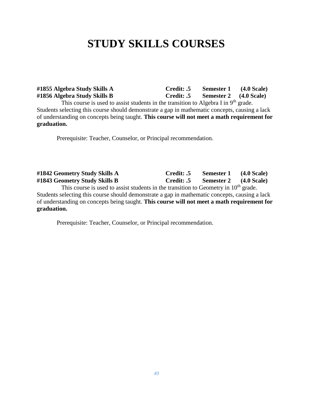# **STUDY SKILLS COURSES**

**#1855 Algebra Study Skills A Credit: .5 Semester 1 (4.0 Scale) #1856 Algebra Study Skills B Credit: .5 Semester 2 (4.0 Scale)** This course is used to assist students in the transition to Algebra I in 9<sup>th</sup> grade. Students selecting this course should demonstrate a gap in mathematic concepts, causing a lack of understanding on concepts being taught. **This course will not meet a math requirement for graduation.**

Prerequisite: Teacher, Counselor, or Principal recommendation.

**#1842 Geometry Study Skills A Credit: .5 Semester 1 (4.0 Scale) #1843 Geometry Study Skills B Credit: .5 Semester 2 (4.0 Scale)** This course is used to assist students in the transition to Geometry in  $10<sup>th</sup>$  grade. Students selecting this course should demonstrate a gap in mathematic concepts, causing a lack of understanding on concepts being taught. **This course will not meet a math requirement for graduation.**

Prerequisite: Teacher, Counselor, or Principal recommendation.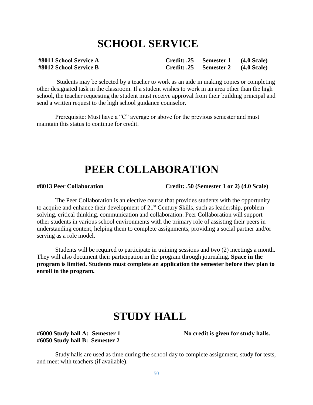# **SCHOOL SERVICE**

| #8011 School Service A | Credit: .25 Semester 1 (4.0 Scale) |  |
|------------------------|------------------------------------|--|
| #8012 School Service B | Credit: .25 Semester 2 (4.0 Scale) |  |

Students may be selected by a teacher to work as an aide in making copies or completing other designated task in the classroom. If a student wishes to work in an area other than the high school, the teacher requesting the student must receive approval from their building principal and send a written request to the high school guidance counselor.

Prerequisite: Must have a "C" average or above for the previous semester and must maintain this status to continue for credit.

# **PEER COLLABORATION**

**#8013 Peer Collaboration Credit: .50 (Semester 1 or 2) (4.0 Scale)**

The Peer Collaboration is an elective course that provides students with the opportunity to acquire and enhance their development of  $21<sup>st</sup>$  Century Skills, such as leadership, problem solving, critical thinking, communication and collaboration. Peer Collaboration will support other students in various school environments with the primary role of assisting their peers in understanding content, helping them to complete assignments, providing a social partner and/or serving as a role model.

Students will be required to participate in training sessions and two (2) meetings a month. They will also document their participation in the program through journaling. **Space in the program is limited. Students must complete an application the semester before they plan to enroll in the program.**

# **STUDY HALL**

**#6050 Study hall B: Semester 2**

**#6000 Study hall A: Semester 1 No credit is given for study halls.**

Study halls are used as time during the school day to complete assignment, study for tests, and meet with teachers (if available).